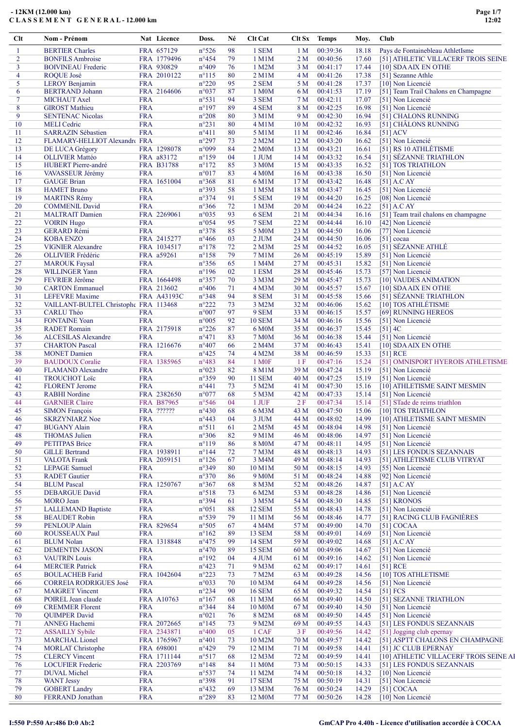| $Cl$ t         | Nom - Prénom                          |            | Nat Licence | Doss.           | Né | Clt Cat             |                 | Clt Sx Temps | Moy.  | Club |                                        |
|----------------|---------------------------------------|------------|-------------|-----------------|----|---------------------|-----------------|--------------|-------|------|----------------------------------------|
| 1              | <b>BERTIER Charles</b>                |            | FRA 657129  | $n^{\circ}526$  | 98 | 1 SEM               | 1 <sub>M</sub>  | 00:39:36     | 18.18 |      | Pays de Fontainebleau AthletIsme       |
| $\overline{2}$ | <b>BONFILS Ambroise</b>               |            | FRA 1779496 | $n^{\circ}454$  | 79 | 1 M1M               | 2 <sub>M</sub>  | 00:40:56     | 17.60 |      | [51] ATHLETIC VILLACERF TROIS SEINE    |
| 3              | <b>BOIVINEAU Frederic</b>             |            | FRA 930829  | $n^{\circ}409$  | 76 | 1 M2M               | 3 <sub>M</sub>  | 00:41:17     | 17.44 |      | [10] SDAAIX EN OTHE                    |
| 4              | ROQUE José                            |            | FRA 2010122 | $n^{\circ}115$  | 80 | 2 M1M               | 4 <sub>M</sub>  | 00:41:26     | 17.38 |      | [51] Sezanne Athle                     |
| 5              | <b>LEROY Benjamin</b>                 | <b>FRA</b> |             | $n^{\circ}220$  | 95 | 2 SEM               | 5 M             | 00:41:28     | 17.37 |      | [10] Non Licencié                      |
| 6              | <b>BERTRAND Johann</b>                |            | FRA 2164606 | n°037           | 87 | 1 M0M               | 6 M             | 00:41:53     | 17.19 |      | [51] Team Trail Chalons en Champagne   |
| $\tau$         | <b>MICHAUT</b> Axel                   | <b>FRA</b> |             | $n^{\circ}531$  | 94 | 3 SEM               | 7 M             | 00:42:11     | 17.07 |      | [51] Non Licencié                      |
| 8              | <b>GIROST Mathieu</b>                 | <b>FRA</b> |             | $n^{\circ}197$  | 89 | 4 SEM               | 8 M             | 00:42:25     | 16.98 |      | [51] Non Licencié                      |
| 9              | <b>SENTENAC Nicolas</b>               | <b>FRA</b> |             | $n^{\circ}208$  | 80 | 3 M1M               | 9 M             | 00:42:30     | 16.94 |      | [51] CHALONS RUNNING                   |
| 10             | <b>MELI</b> Cedric                    | <b>FRA</b> |             | $n^{\circ}231$  | 80 | 4 M1M               | 10 <sub>M</sub> | 00:42:32     | 16.93 |      | [51] CHÂLONS RUNNING                   |
| 11             | <b>SARRAZIN Sébastien</b>             | <b>FRA</b> |             | $n^{\circ}411$  | 80 | 5 M1M               | 11 <sub>M</sub> | 00:42:46     | 16.84 |      | $[51]$ ACV                             |
| 12             | FLAMARY-HELLIOT Alexandre FRA         |            |             | $n^{\circ}297$  | 73 | 2 M2M               | 12 <sub>M</sub> | 00:43:20     | 16.62 |      | [51] Non Licencié                      |
| 13             | DE LUCA Grégory                       |            | FRA 1298078 | n°099           | 84 | 2 M0M               | 13 M            | 00:43:21     | 16.61 |      | [51] RS 10 ATHLÉTISME                  |
| 14             | <b>OLLIVIER Mattéo</b>                |            | FRA a83172  | $n^{\circ}159$  | 04 | 1 JUM               | 14 <sub>M</sub> | 00:43:32     | 16.54 |      | [51] SÉZANNE TRIATHLON                 |
| 15             | <b>HUBERT</b> Pierre-andré            |            | FRA B31788  | $n^{\circ}172$  | 85 | 3 M0M               | 15 M            | 00:43:35     | 16.52 |      | [51] TOS TRIATHLON                     |
| 16             | VAVASSEUR Jérémy                      | <b>FRA</b> |             | $n^{\circ}017$  | 83 | <b>4 M0M</b>        | 16M             | 00:43:38     | 16.50 |      | [51] Non Licencié                      |
| 17             | <b>GAUGE Brian</b>                    |            | FRA 1651004 | $n^{\circ}368$  | 81 | 6 M1M               | 17 <sub>M</sub> | 00:43:42     | 16.48 |      | $[51]$ A.C AY                          |
| 18             | <b>HAMET Bruno</b>                    | <b>FRA</b> |             | n°393           | 58 | 1 M5M               | 18 <sub>M</sub> | 00:43:47     | 16.45 |      | [51] Non Licencié                      |
| 19             | <b>MARTINS Rémy</b>                   | <b>FRA</b> |             | $n^{\circ}374$  | 91 | 5 SEM               | 19 <sub>M</sub> | 00:44:20     | 16.25 |      | [08] Non Licencié                      |
| 20             | <b>COMMENIL David</b>                 | <b>FRA</b> |             | $n^{\circ}366$  | 72 | 1 M <sub>3</sub> M  | 20 <sub>M</sub> | 00:44:24     | 16.22 |      | $[51]$ A.C AY                          |
| 21             | <b>MALTRAIT Damien</b>                |            | FRA 2269061 | n°035           | 93 | 6 SEM               | 21 M            | 00:44:34     | 16.16 |      | [51] Team trail chalons en champagne   |
| 22             | <b>VOIRIN Hugo</b>                    | <b>FRA</b> |             | $n^{\circ}054$  | 95 | 7 SEM               | 22 M            | 00:44:44     | 16.10 |      | [42] Non Licencié                      |
| 23             | <b>GERARD Rémi</b>                    | <b>FRA</b> |             | $n^{\circ}378$  | 85 | 5 M0M               | 23 M            | 00:44:50     | 16.06 |      | [77] Non Licencié                      |
| 24             | <b>KOBA ENZO</b>                      |            | FRA 2415277 | $n^{\circ}466$  | 03 | 2 JUM               | 24 M            | 00:44:50     | 16.06 |      | $[51]$ cocaa                           |
| 25             | <b>VIGNIER Alexandre</b>              |            | FRA 1034517 | $n^{\circ}178$  | 72 | 2 M3M               | 25 M            | 00:44:52     | 16.05 |      | [51] SÉZANNE ATHLÉ                     |
| 26             | <b>OLLIVIER Frédéric</b>              |            | FRA a59261  | $n^{\circ}158$  | 79 | 7 M1M               | 26 M            | 00:45:19     | 15.89 |      | [51] Non Licencié                      |
| 27             | <b>MAROUK Faysal</b>                  | <b>FRA</b> |             | $n^{\circ}356$  | 65 | 1 M4M               | 27 M            | 00:45:31     | 15.82 |      | [51] Non Licencié                      |
| 28             | <b>WILLINGER Yann</b>                 | <b>FRA</b> |             | $n^{\circ}196$  | 02 | 1 ESM               | 28 M            | 00:45:46     | 15.73 |      | [57] Non Licencié                      |
| 29             | FEVRIER Jérôme                        |            | FRA 1664498 | $n^{\circ}357$  | 70 | 3 M3M               | 29 M            | 00:45:47     | 15.73 |      | [10] VAUDES ANIMATION                  |
| 30             | <b>CARTON</b> Emmanuel                |            | FRA 213602  | $n^{\circ}406$  | 71 | 4 M3M               | 30 M            | 00:45:57     | 15.67 |      | [10] SDAAIX EN OTHE                    |
| 31             | <b>LEFEVRE</b> Maxime                 |            | FRA A43193C | n°348           | 94 | 8 SEM               | 31 M            | 00:45:58     | 15.66 |      | [51] SÉZANNE TRIATHLON                 |
| 32             | VAILLANT-BULTEL Christophe FRA 113468 |            |             | $n^{\circ}222$  | 73 | 3 M2M               | 32 M            | 00:46:06     | 15.62 |      | [10] TOS ATHLÉTISME                    |
| 33             | <b>CARLU Théo</b>                     | <b>FRA</b> |             | $n^{\circ}007$  | 97 | 9 SEM               | 33 M            | 00:46:15     | 15.57 |      | [69] RUNNING HEREOS                    |
| 34             | <b>FONTAINE Yoan</b>                  | <b>FRA</b> |             | $n^{\circ}005$  | 92 | <b>10 SEM</b>       | 34 M            | 00:46:16     | 15.56 |      | [51] Non Licencié                      |
| 35             | <b>RADET Romain</b>                   |            | FRA 2175918 | $n^{\circ}226$  | 87 | 6 M0M               | 35 M            | 00:46:37     | 15.45 |      | $[51]$ 4C                              |
|                |                                       | <b>FRA</b> |             | $n^{\circ}471$  |    |                     |                 |              |       |      |                                        |
| 36             | <b>ALCESILAS Alexandre</b>            |            |             |                 | 83 | <b>7 M0M</b>        | 36 M            | 00:46:38     | 15.44 |      | [51] Non Licencié                      |
| 37             | <b>CHARTON Pascal</b>                 |            | FRA 1216676 | $n^{\circ}407$  | 66 | 2 M4M               | 37 M            | 00:46:43     | 15.41 |      | [10] SDAAIX EN OTHE                    |
| 38             | <b>MONET</b> Damien                   | <b>FRA</b> |             | $n^{\circ}425$  | 74 | 4 M2M               | 38 M            | 00:46:59     | 15.33 |      | $[51]$ RCE                             |
| 39             | <b>BAUDOUX Coralie</b>                |            | FRA 1385965 | $n^{\circ}483$  | 84 | 1 M <sub>OF</sub>   | 1 F             | 00:47:16     | 15.24 |      | [51] OMNISPORT HYEROIS ATHLETISME      |
| 40             | <b>FLAMAND</b> Alexandre              | <b>FRA</b> |             | $n^{\circ}023$  | 82 | 8 M1M               | 39 M            | 00:47:24     | 15.19 |      | [51] Non Licencié                      |
| 41             | <b>TROUCHOT Loïc</b>                  | <b>FRA</b> |             | n°359           | 90 | <b>11 SEM</b>       | 40 M            | 00:47:25     | 15.19 |      | [51] Non Licencié                      |
| 42             | <b>FLORENT Jerome</b>                 | <b>FRA</b> |             | $n^{\circ}441$  | 73 | 5 M2M               | 41 M            | 00:47:30     | 15.16 |      | [10] ATHLETISME SAINT MESMIN           |
| 43             | <b>RABHI</b> Nordine                  |            | FRA 2382650 | n°077           | 68 | 5 M3M               | 42 M            | 00:47:33     | 15.14 |      | [51] Non Licencié                      |
| 44             | <b>GARNIER Claire</b>                 |            | FRA B87965  | $n^{\circ}546$  | 04 | $1$ JUF             | 2F              | 00:47:34     | 15.14 |      | [51] STade de reims triathlon          |
| 45             | <b>SIMON</b> François                 |            | FRA ??????  | $n^{\circ}430$  | 68 | 6 M3M               | 43 M            | 00:47:50     | 15.06 |      | [10] TOS TRIATHLON                     |
| 46             | <b>SKRZYNIARZ Noe</b>                 | <b>FRA</b> |             | $n^{\circ}443$  | 04 | 3 JUM               | 44 M            | 00:48:02     | 14.99 |      | [10] ATHLETISME SAINT MESMIN           |
| 47             | <b>BUGANY Alain</b>                   | <b>FRA</b> |             | $n^{\circ}511$  | 61 | 2 M5M               | 45 M            | 00:48:04     | 14.98 |      | [51] Non Licencié                      |
| 48             | <b>THOMAS</b> Julien                  | <b>FRA</b> |             | n°306           | 82 | 9 M1M               | 46 M            | 00:48:06     | 14.97 |      | [51] Non Licencié                      |
| 49             | <b>PETITPAS Brice</b>                 | <b>FRA</b> |             | $n^{\circ}119$  | 86 | <b>8 M0M</b>        | 47 M            | 00:48:11     | 14.95 |      | [51] Non Licencié                      |
| 50             | <b>GILLE Bertrand</b>                 |            | FRA 1938911 | $n^{\circ}$ 144 | 72 | 7 M3M               | 48 M            | 00:48:13     | 14.93 |      | [51] LES FONDUS SEZANNAIS              |
| 51             | <b>VALOTA Frank</b>                   |            | FRA 2059151 | $n^{\circ}126$  | 67 | 3 M4M               | 49 M            | 00:48:14     | 14.93 |      | [51] ATHLÉTISME CLUB VITRYAT           |
| 52             | <b>LEPAGE Samuel</b>                  | <b>FRA</b> |             | n°349           | 80 | 10 M1M              | 50 M            | 00:48:15     | 14.93 |      | [55] Non Licencié                      |
| 53             | <b>RADET</b> Gautier                  | <b>FRA</b> |             | $n^{\circ}370$  | 86 | 9 M <sub>0</sub> M  | 51 M            | 00:48:24     | 14.88 |      | [92] Non Licencié                      |
| 54             | <b>BLUM</b> Pascal                    |            | FRA 1250767 | $n^{\circ}367$  | 68 | 8 M3M               | 52 M            | 00:48:26     | 14.87 |      | $[51]$ A.C AY                          |
| 55             | <b>DEBARGUE David</b>                 | <b>FRA</b> |             | $n^{\circ}518$  | 73 | 6 M2M               | 53 M            | 00:48:28     | 14.86 |      | [51] Non Licencié                      |
| 56             | <b>MORO</b> Jean                      | <b>FRA</b> |             | n°394           | 61 | 3 M5M               | 54 M            | 00:48:30     | 14.85 |      | [51] KRONOS                            |
| 57             | <b>LALLEMAND Baptiste</b>             | <b>FRA</b> |             | $n^{\circ}051$  | 88 | <b>12 SEM</b>       | 55 M            | 00:48:43     | 14.78 |      | [51] Non Licencié                      |
| 58             | <b>BEAUDET</b> Robin                  | <b>FRA</b> |             | n°539           | 79 | 11 M1M              | 56 M            | 00:48:46     | 14.77 |      | [51] RACING CLUB FAGNIÈRES             |
| 59             | <b>PENLOUP Alain</b>                  |            | FRA 829654  | n°505           | 67 | 4 M4M               | 57 M            | 00:49:00     | 14.70 |      | $[51]$ COCAA                           |
| 60             | <b>ROUSSEAUX Paul</b>                 | <b>FRA</b> |             | $n^{\circ}162$  | 89 | <b>13 SEM</b>       | 58 M            | 00:49:01     | 14.69 |      | [51] Non Licencié                      |
| 61             | <b>BLUM</b> Nolan                     |            | FRA 1318848 | $n^{\circ}475$  | 99 | <b>14 SEM</b>       | 59 M            | 00:49:02     | 14.68 |      | $[51]$ A.C AY                          |
| 62             | <b>DEMENTIN JASON</b>                 | <b>FRA</b> |             | $n^{\circ}470$  | 89 | <b>15 SEM</b>       | 60 M            | 00:49:06     | 14.67 |      | [51] Non Licencié                      |
| 63             | <b>VAUTRIN Louis</b>                  | <b>FRA</b> |             | $n^{\circ}192$  | 04 | 4 JUM               | 61 M            | 00:49:16     | 14.62 |      | [51] Non Licencié                      |
| 64             | <b>MERCIER Patrick</b>                | <b>FRA</b> |             | $n^{\circ}423$  | 71 | 9 M3M               | 62 M            | 00:49:17     | 14.61 |      | $[51]$ RCE                             |
| 65             | <b>BOULACHEB Farid</b>                |            | FRA 1042604 | $n^{\circ}223$  | 73 | 7 M2M               | 63 M            | 00:49:28     | 14.56 |      | [10] TOS ATHLETISME                    |
| 66             | <b>CORREIA RODRIGUES José</b>         | <b>FRA</b> |             | n°033           | 70 | 10 M3M              | 64 M            | 00:49:28     | 14.56 |      | [51] Non Licencié                      |
| 67             | <b>MAIGRET Vincent</b>                | <b>FRA</b> |             | $n^{\circ}234$  | 90 | <b>16 SEM</b>       | 65 M            | 00:49:32     | 14.54 |      | [51] FCS                               |
| 68             | POIREL Jean claude                    |            | FRA A10763  | $n^{\circ}167$  | 68 | 11 M3M              | 66 M            | 00:49:40     | 14.50 |      | [51] SEZANNE TRIATHLON                 |
| 69             | <b>CREMMER Florent</b>                | <b>FRA</b> |             | n°344           | 84 | 10 M0M              | 67 M            | 00:49:40     | 14.50 |      | [51] Non Licencié                      |
| 70             | <b>QUIMPER David</b>                  | <b>FRA</b> |             | n°021           | 76 | 8 M2M               | 68 M            | 00:49:50     | 14.45 |      | [51] Non Licencié                      |
| 71             | <b>ANNEG Hachemi</b>                  |            | FRA 2072665 | $n^{\circ}145$  | 73 | 9 M2M               | 69 M            | 00:49:55     | 14.43 |      | [51] LES FONDUS SEZANNAIS              |
| 72             |                                       |            |             | $n^{\circ}400$  | 05 | 1 CAF               |                 | 00:49:56     |       |      |                                        |
|                | <b>ASSAILLY Sybile</b>                |            | FRA 2343871 |                 |    |                     | 3F              |              | 14.42 |      | [51] Jogging club epernay              |
| 73             | <b>MARCHAL Lionel</b>                 |            | FRA 1765967 | $n^{\circ}401$  | 73 | 10 M2M              | 70 M            | 00:49:57     | 14.42 |      | [51] ASPTT CHALONS EN CHAMPAGNE        |
| 74             | <b>MORLAT Christophe</b>              |            | FRA 698001  | $n^{\circ}429$  | 79 | 12 M1M              | 71 M            | 00:49:58     | 14.41 |      | [51] JC CLUB EPERNAY                   |
| 75             | <b>CLERCY Vincent</b>                 |            | FRA 1711144 | $n^{\circ}517$  | 68 | 12 M3M              | 72 M            | 00:49:59     | 14.41 |      | [10] ATHLETIC VILLACERF TROIS SEINE AI |
| 76             | <b>LOCUFIER Frederic</b>              |            | FRA 2203769 | $n^{\circ}$ 148 | 84 | 11 M0M              | 73 M            | 00:50:15     | 14.33 |      | [51] LES FONDUS SEZANNAIS              |
| 77             | <b>DUVAL Michel</b>                   | <b>FRA</b> |             | n°537           | 74 | 11 M2M              | 74 M            | 00:50:18     | 14.32 |      | [10] Non Licencié                      |
| 78             | <b>WANT Jessy</b>                     | <b>FRA</b> |             | n°398           | 91 | <b>17 SEM</b>       | 75 M            | 00:50:19     | 14.31 |      | [51] Non Licencié                      |
| 79             | <b>GOBERT Landry</b>                  | <b>FRA</b> |             | $n^{\circ}432$  | 69 | 13 M3M              | 76 M            | 00:50:24     | 14.29 |      | $[51]$ COCAA                           |
| 80             | FERRAND Jonathan                      | <b>FRA</b> |             | $n^{\circ}289$  | 83 | 12 M <sub>0</sub> M | 77 M            | 00:50:26     | 14.28 |      | [10] Non Licencié                      |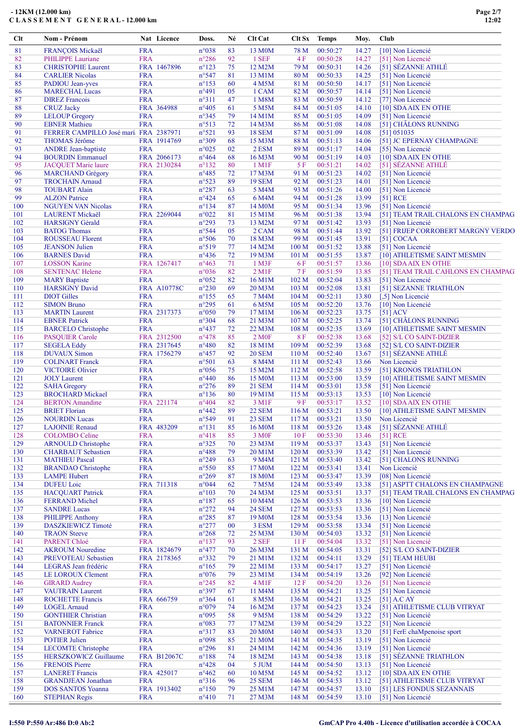| Clt        | Nom - Prénom                                         |                          | Nat Licence        | Doss.                            | Né       | Clt Cat                      | Clt Sx                    | <b>Temps</b>         | Moy.           | Club                                     |
|------------|------------------------------------------------------|--------------------------|--------------------|----------------------------------|----------|------------------------------|---------------------------|----------------------|----------------|------------------------------------------|
| 81         | FRANÇOIS Mickaël                                     | <b>FRA</b>               |                    | n°038                            | 83       | 13 M <sub>0</sub> M          | 78 M                      | 00:50:27             | 14.27          | [10] Non Licencié                        |
| 82         | PHILIPPE Lauriane                                    | <b>FRA</b>               |                    | $n^{\circ}286$                   | 92       | 1 SEF                        | 4 F                       | 00:50:28             | 14.27          | [51] Non Licencié                        |
| 83         | <b>CHRISTOPHE Laurent</b>                            |                          | FRA 1467896        | $n^{\circ}123$                   | 75       | 12 M2M                       | 79 M                      | 00:50:31             | 14.26          | [51] SÉZANNE ATHLÉ                       |
| 84         | <b>CARLIER Nicolas</b>                               | <b>FRA</b>               |                    | n°547                            | 81       | 13 M1M                       | 80 M                      | 00:50:33             | 14.25          | [51] Non Licencié                        |
| 85         | PADIOU Jean-yves                                     | <b>FRA</b>               |                    | $n^{\circ}153$                   | 60       | 4 M5M                        | 81 M                      | 00:50:50             | 14.17          | [51] Non Licencié                        |
| 86         | <b>MARECHAL Lucas</b>                                | <b>FRA</b>               |                    | $n^{\circ}491$                   | 05       | 1 CAM                        | 82 M                      | 00:50:57             | 14.14          | [51] Non Licencié                        |
| 87<br>88   | <b>DIREZ Francois</b><br><b>CRUZ</b> Jacky           | <b>FRA</b>               | FRA 364988         | n°311<br>$n^{\circ}405$          | 47<br>61 | 1 M8M<br>5 M5M               | 83 M<br>84 M              | 00:50:59<br>00:51:05 | 14.12<br>14.10 | [77] Non Licencié<br>[10] SDAAIX EN OTHE |
| 89         | <b>LELOUP Gregory</b>                                | <b>FRA</b>               |                    | n°345                            | 79       | 14 M1M                       | 85 M                      | 00:51:05             | 14.09          | [51] Non Licencié                        |
| 90         | <b>EBNER Mathieu</b>                                 | <b>FRA</b>               |                    | n°513                            | 72       | 14 M3M                       | 86 M                      | 00:51:08             | 14.08          | [51] CHÂLONS RUNNING                     |
| 91         | FERRER CAMPILLO José marí: FRA 2387971               |                          |                    | n°521                            | 93       | <b>18 SEM</b>                | 87 M                      | 00:51:09             | 14.08          | [51] 051035                              |
| 92         | <b>THOMAS Jérôme</b>                                 |                          | FRA 1914769        | n°309                            | 68       | 15 M3M                       | 88 M                      | 00:51:13             | 14.06          | [51] JC EPERNAY CHAMPAGNE                |
| 93         | <b>ANDRE</b> Jean-baptiste                           | <b>FRA</b>               |                    | n°025                            | 02       | 2 ESM                        | 89 M                      | 00:51:17             | 14.04          | [55] Non Licencié                        |
| 94         | <b>BOURDIN Emmanuel</b>                              |                          | FRA 2066173        | $n^{\circ}464$                   | 68       | 16 M3M                       | 90 M                      | 00:51:19             | 14.03          | [10] SDAAIX EN OTHE                      |
| 95         | <b>JACQUET Marie laure</b>                           |                          | FRA 2130284        | $n^{\circ}132$                   | 80       | $1$ M $1$ F                  | 5 F                       | 00:51:21             | 14.02          | [51] SÉZANNE ATHLÉ                       |
| 96         | <b>MARCHAND Grégory</b>                              | <b>FRA</b>               |                    | $n^{\circ}485$                   | 72       | 17 M3M                       | 91 M                      | 00:51:23             | 14.02          | [51] Non Licencié                        |
| 97         | <b>TROCHAIN Arnaud</b>                               | <b>FRA</b>               |                    | n°523                            | 89       | <b>19 SEM</b>                | 92 M                      | 00:51:23             | 14.01          | [51] Non Licencié                        |
| 98         | <b>TOUBART Alain</b>                                 | <b>FRA</b>               |                    | $n^{\circ}287$                   | 63       | 5 M4M                        | 93 M                      | 00:51:26             | 14.00          | [51] Non Licencié                        |
| 99         | <b>ALZON</b> Patrice                                 | <b>FRA</b>               |                    | $n^{\circ}424$                   | 65       | 6 M4M                        | 94 M                      | 00:51:28             | 13.99          | $[51]$ RCE                               |
| 100        | <b>NGUYEN VAN Nicolas</b>                            | <b>FRA</b>               |                    | $n^{\circ}134$                   | 87       | 14 M <sub>0</sub> M          | 95 M                      | 00:51:34             | 13.96          | [51] Non Licencié                        |
| 101        | <b>LAURENT Mickaël</b>                               |                          | FRA 2269044        | $n^{\circ}022$                   | 81       | 15 M1M                       | 96 M                      | 00:51:38             | 13.94          | [51] TEAM TRAIL CHALONS EN CHAMPAG       |
| 102        | <b>HARSIGNY Gérald</b>                               | <b>FRA</b>               |                    | n°293                            | 73       | 13 M2M                       | 97 M                      | 00:51:42             | 13.93          | [51] Non Licencié                        |
| 103        | <b>BATOG Thomas</b>                                  | <b>FRA</b>               |                    | $n^{\circ}$ 544                  | 05       | 2 CAM                        | 98 M                      | 00:51:44             | 13.92          | [51] FRIJEP CORROBERT MARGNY VERDO       |
| 104        | <b>ROUSSEAU Florent</b>                              | <b>FRA</b>               |                    | $n^{\circ}506$                   | 70       | 18 M3M                       | 99 M                      | 00:51:45             | 13.91          | [51] COCAA                               |
| 105        | <b>JEANSON</b> Julien                                | <b>FRA</b>               |                    | n°519                            | 77       | 14 M2M                       | 100 M                     | 00:51:52             | 13.88          | [51] Non Licencié                        |
| 106        | <b>BARNES David</b>                                  | <b>FRA</b>               |                    | $n^{\circ}436$                   | 72       | 19 M3M                       | 101 <sub>M</sub>          | 00:51:55             | 13.87          | [10] ATHLETISME SAINT MESMIN             |
| 107        | <b>LOSSON Karine</b>                                 |                          | FRA 1267417        | $n^{\circ}463$                   | 71       | $1$ M3F                      | 6 F                       | 00:51:57             | 13.86          | [10] SDA AIX EN OTHE                     |
| 108        | <b>SENTENAC Helene</b>                               | <b>FRA</b>               |                    | n°036                            | 82       | $2$ M <sub>1</sub> $F$       | $7\,\mathrm{F}$           | 00:51:59             | 13.85          | [51] TEAM TRAIL CAHLONS EN CHAMPAG       |
| 109        | <b>MARY Baptiste</b>                                 | <b>FRA</b>               |                    | $n^{\circ}052$                   | 82<br>69 | 16 M1M                       | 102 M                     | 00:52:04             | 13.83          | [51] Non Licencié                        |
| 110        | <b>HARSIGNY David</b>                                |                          | <b>FRA A10778C</b> | $n^{\circ}230$                   |          | 20 M3M                       | 103 M                     | 00:52:08             | 13.81          | [51] SEZANNE TRIATHLON                   |
| 111<br>112 | <b>DIOT</b> Gilles<br><b>SIMON Bruno</b>             | <b>FRA</b><br><b>FRA</b> |                    | $n^{\circ}$ 155<br>n°295         | 65<br>61 | 7 M4M<br>6 M5M               | 104 M<br>105 M            | 00:52:11<br>00:52:20 | 13.80<br>13.76 | [,5] Non Licencié                        |
| 113        | <b>MARTIN</b> Laurent                                |                          | FRA 2317373        | $n^{\circ}050$                   | 79       | 17 M1M                       | 106 <sub>M</sub>          | 00:52:23             | 13.75          | [10] Non Licencié<br>$[51]$ ACV          |
| 114        | <b>EBNER Patrick</b>                                 | <b>FRA</b>               |                    | n°304                            | 68       | 21 M3M                       | 107 <sub>M</sub>          | 00:52:25             | 13.74          | [51] CHÂLONS RUNNING                     |
| 115        | <b>BARCELO</b> Christophe                            | <b>FRA</b>               |                    | $n^{\circ}437$                   | 72       | 22 M3M                       | 108 M                     | 00:52:35             | 13.69          | [10] ATHLETISME SAINT MESMIN             |
| 116        | <b>PASQUIER Carole</b>                               |                          | FRA 2312500        | $n^{\circ}478$                   | 85       | <b>2 MOF</b>                 | $8\ \mathrm{F}$           | 00:52:38             | 13.68          | [52] S/L CO SAINT-DIZIER                 |
| 117        | <b>SEGELA Eddy</b>                                   |                          | FRA 2317645        | $n^{\circ}480$                   | 82       | 18 M1M                       | 109 M                     | 00:52:39             | 13.68          | [52] S/L CO SAINT-DIZIER                 |
| 118        | <b>DUVAUX Simon</b>                                  |                          | FRA 1756279        | $n^{\circ}457$                   | 92       | <b>20 SEM</b>                | 110 M                     | 00:52:40             | 13.67          | [51] SÉZANNE ATHLÉ                       |
| 119        | <b>COLINART Franck</b>                               | <b>FRA</b>               |                    | $n^{\circ}501$                   | 63       | 8 M4M                        | 111 M                     | 00:52:43             | 13.66          | Non Licencié                             |
| 120        | <b>VICTOIRE Olivier</b>                              | <b>FRA</b>               |                    | $n^{\circ}056$                   | 75       | 15 M2M                       | 112 M                     | 00:52:58             | 13.59          | [51] KRONOS TRIATHLON                    |
| 121        | <b>JOLY</b> Laurent                                  | <b>FRA</b>               |                    | $n^{\circ}440$                   | 86       | 15 M <sub>0</sub> M          | 113 M                     | 00:53:00             | 13.59          | [10] ATHLETISME SAINT MESMIN             |
| 122        | <b>SAHA Gregory</b>                                  | <b>FRA</b>               |                    | $n^{\circ}276$                   | 89       | <b>21 SEM</b>                | 114M                      | 00:53:01             | 13.58          | [51] Non Licencié                        |
| 123        | <b>BROCHARD Mickael</b>                              | <b>FRA</b>               |                    | $n^{\circ}136$                   | 80       | 19 M1M                       | 115 M                     | 00:53:13             | 13.53          | [10] Non Licencié                        |
| 124        | <b>BERTON</b> Amandine                               |                          | FRA 221174         | $n^{\circ}404$                   | 82       | 3 M1F                        | 9 F                       | 00:53:17             | 13.52          | [10] SDA AIX EN OTHE                     |
| 125        | <b>BRIET Florian</b>                                 | <b>FRA</b>               |                    | $n^{\circ}442$                   | 89       | <b>22 SEM</b>                | 116M                      | 00:53:21             | 13.50          | [10] ATHLETISME SAINT MESMIN             |
| 126        | <b>NOURDIN Lucas</b>                                 | <b>FRA</b>               |                    | n°549                            | 91       | <b>23 SEM</b>                | 117 <sub>M</sub>          | 00:53:21             | 13.50          | Non Licencié                             |
| 127        | <b>LAJOINIE Renaud</b>                               |                          | FRA 483209         | $n^{\circ}131$                   | 85       | 16 M0M                       | 118M                      | 00:53:26             | 13.48          | [51] SÉZANNE ATHLÉ                       |
| 128        | <b>COLOMBO</b> Celine                                | <b>FRA</b>               |                    | $n^{\circ}418$                   | 85       | 3 M <sub>OF</sub>            | 10F                       | 00:53:30             | 13.46          | $[51]$ RCE                               |
| 129        | <b>ARNOULD Christophe</b>                            | <b>FRA</b>               |                    | $n^{\circ}325$                   | 70       | 23 M3M                       | 119 M                     | 00:53:37             | 13.43          | [51] Non Licencié                        |
| 130        | <b>CHARBAUT</b> Sebastien                            | <b>FRA</b>               |                    | $n^{\circ}488$                   | 79       | 20 M1M                       | 120 M                     | 00:53:39             | 13.42          | [51] Non Licencié                        |
| 131        | <b>MATHIEU Pascal</b>                                | <b>FRA</b>               |                    | $n^{\circ}249$                   | 63       | 9 M4M                        | 121 M                     | 00:53:40             | 13.42          | [51] CHALONS RUNNING                     |
| 132        | <b>BRANDAO</b> Christophe                            | <b>FRA</b>               |                    | $n^{\circ}550$                   | 85       | 17 M <sub>0</sub> M          | 122 M                     | 00:53:41             | 13.41          | Non Licencié                             |
| 133        | <b>LAMPE Hubert</b>                                  | <b>FRA</b>               |                    | $n^{\circ}269$                   | 87       | 18 M <sub>0</sub> M          | 123 M                     | 00:53:47             | 13.39          | [08] Non Licencié                        |
| 134        | <b>DUFEU</b> Loic                                    |                          | FRA 711318         | $n^{\circ}044$                   | 62       | 7 M5M                        | 124 M                     | 00:53:49             | 13.38          | [51] ASPTT CHALONS EN CHAMPAGNE          |
| 135        | <b>HACQUART Patrick</b>                              | <b>FRA</b>               |                    | $n^{\circ}103$                   | 70       | 24 M3M                       | 125 M                     | 00:53:51             | 13.37          | [51] TEAM TRAIL CHALONS EN CHAMPAG       |
| 136        | <b>FERRAND Michel</b>                                | <b>FRA</b>               |                    | $n^{\circ}187$                   | 65       | 10 M4M                       | 126 M                     | 00:53:53             | 13.36          | [10] Non Licencié                        |
| 137        | <b>SANDRE Lucas</b>                                  | <b>FRA</b>               |                    | $n^{\circ}272$                   | 94       | <b>24 SEM</b>                | 127 M                     | 00:53:53             | 13.36          | [51] Non Licencié                        |
| 138<br>139 | <b>PHILIPPE Anthony</b><br><b>DASZKIEWICZ Timoté</b> | <b>FRA</b><br><b>FRA</b> |                    | $n^{\circ}285$<br>$n^{\circ}277$ | 87<br>00 | 19 M <sub>0</sub> M<br>3 ESM | 128 <sub>M</sub><br>129 M | 00:53:54<br>00:53:58 | 13.36<br>13.34 | [13] Non Licencié<br>[51] Non Licencié   |
| 140        | <b>TRAON</b> Steeve                                  | <b>FRA</b>               |                    | $n^{\circ}268$                   |          | 25 M3M                       | 130 M                     | 00:54:03             | 13.32          |                                          |
| 141        | PARENT Chloé                                         | <b>FRA</b>               |                    | $n^{\circ}137$                   | 72<br>93 | $2$ SEF                      | 11F                       | 00:54:04             | 13.32          | [51] Non Licencié<br>[51] Non Licencié   |
| 142        | <b>AKROUM Nouredine</b>                              |                          | FRA 1824679        | $n^{\circ}477$                   | 70       | 26 M3M                       | 131 M                     | 00:54:05             | 13.31          | [52] S/L CO SAINT-DIZIER                 |
| 143        | PREVOTEAU Sebastien                                  |                          | FRA 2178365        | $n^{\circ}332$                   | 79       | 21 M1M                       | 132 M                     | 00:54:11             | 13.29          | [51] TEAM HEUBI                          |
| 144        | LEGRAS Jean frédéric                                 | <b>FRA</b>               |                    | $n^{\circ}165$                   | 79       | 22 M1M                       | 133 M                     | 00:54:17             | 13.27          | [51] Non Licencié                        |
| 145        | LE LOROUX Clement                                    | <b>FRA</b>               |                    | $n^{\circ}076$                   | 79       | 23 M1M                       | 134 M                     | 00:54:19             | 13.26          | [92] Non Licencié                        |
| 146        | <b>GIRARD Audrey</b>                                 | <b>FRA</b>               |                    | $n^{\circ}245$                   | 82       | $4 \,\mathrm{M1F}$           | 12F                       | 00:54:20             | 13.26          | [51] Non Licencié                        |
| 147        | <b>VAUTRAIN Laurent</b>                              | <b>FRA</b>               |                    | n°397                            | 67       | 11 M4M                       | 135 M                     | 00:54:21             | 13.25          | [51] Non Licencié                        |
| 148        | <b>ROCHETTE Francis</b>                              |                          | FRA 666759         | $n^{\circ}364$                   | 61       | 8 M5M                        | 136 M                     | 00:54:21             | 13.25          | $[51]$ A.C AY                            |
| 149        | <b>LOGEL Arnaud</b>                                  | <b>FRA</b>               |                    | n°079                            | 74       | 16 M2M                       | 137 M                     | 00:54:23             | 13.24          | [51] ATHLETISME CLUB VITRYAT             |
| 150        | <b>GONTHIER Christian</b>                            | <b>FRA</b>               |                    | n°095                            | 58       | 9 M <sub>5</sub> M           | 138 M                     | 00:54:29             | 13.22          | [51] Non Licencié                        |
| 151        | <b>BATONNIER Franck</b>                              | <b>FRA</b>               |                    | n°083                            | 77       | 17 M2M                       | 139 M                     | 00:54:29             | 13.22          | [51] Non Licencié                        |
| 152        | <b>VARNEROT Fabrice</b>                              | <b>FRA</b>               |                    | n°317                            | 83       | <b>20 M0M</b>                | 140 M                     | 00:54:33             | 13.20          | [51] FerE chaMpenoise sport              |
| 153        | <b>POTIER Julien</b>                                 | <b>FRA</b>               |                    | n°098                            | 85       | 21 M <sub>0</sub> M          | 141 M                     | 00:54:35             | 13.19          | [51] Non Licencié                        |
| 154        | <b>LECOMTE Christophe</b>                            | <b>FRA</b>               |                    | $n^{\circ}296$                   | 81       | 24 M1M                       | 142 M                     | 00:54:36             | 13.19          | [51] Non Licencié                        |
| 155        | HERSZKOWICZ Guillaume                                |                          | <b>FRA B12067C</b> | $n^{\circ}188$                   | 74       | 18 M2M                       | 143 M                     | 00:54:38             | 13.18          | [51] SÉZANNE TRIATHLON                   |
| 156        | <b>FRENOIS Pierre</b>                                | <b>FRA</b>               |                    | $n^{\circ}428$                   | 04       | 5 JUM                        | 144 M                     | 00:54:50             | 13.13          | [51] Non Licencié                        |
| 157        | <b>LANERET Francis</b>                               |                          | FRA 425017         | $n^{\circ}462$                   | 60       | 10 M5M                       | 145 M                     | 00:54:52             | 13.12          | [10] SDAAIX EN OTHE                      |
| 158        | <b>GRANDJEAN Jonathan</b>                            | <b>FRA</b>               |                    | $n^{\circ}316$                   | 96       | <b>25 SEM</b>                | 146 M                     | 00:54:53             | 13.12          | [51] ATHLETISME CLUB VITRYAT             |
| 159        | <b>DOS SANTOS Yoanna</b>                             |                          | FRA 1913402        | $n^{\circ}150$                   | 79       | 25 M1M                       | 147 M                     | 00:54:57             | 13.10          | [51] LES FONDUS SEZANNAIS                |
| 160        | <b>STEPHAN Regis</b>                                 | <b>FRA</b>               |                    | $n^{\circ}410$                   | 71       | 27 M3M                       | 148 M                     | 00:54:59             | 13.10          | [51] Non Licencié                        |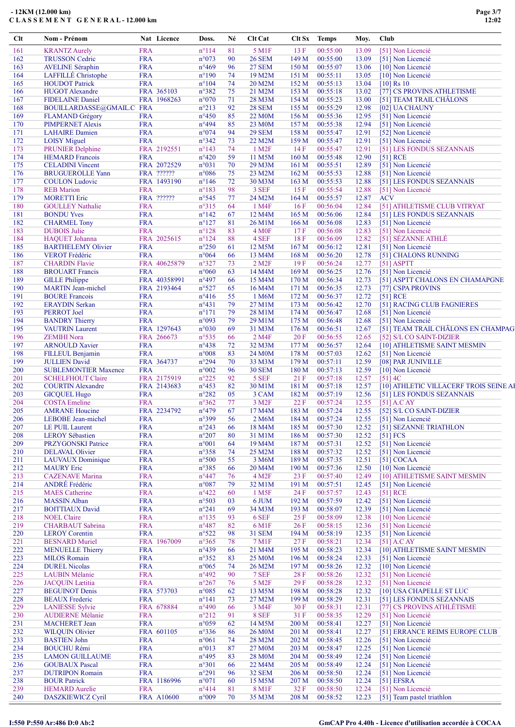| Clt        | Nom - Prénom                                      |                          | Nat Licence  | Doss.                            | Né       | Clt Cat                |                  | Clt Sx Temps         | Moy.           | Club       |                                        |
|------------|---------------------------------------------------|--------------------------|--------------|----------------------------------|----------|------------------------|------------------|----------------------|----------------|------------|----------------------------------------|
| 161        | <b>KRANTZ Aurely</b>                              | <b>FRA</b>               |              | $n^{\circ}114$                   | 81       | 5 M1F                  | 13F              | 00:55:00             | 13.09          |            | [51] Non Licencié                      |
| 162        | <b>TRUSSON Cedric</b>                             | <b>FRA</b>               |              | n°073                            | 90       | <b>26 SEM</b>          | 149 M            | 00:55:00             | 13.09          |            | [51] Non Licencié                      |
| 163        | <b>AVELINE Séraphin</b>                           | <b>FRA</b>               |              | n°469                            | 96       | <b>27 SEM</b>          | 150 M            | 00:55:07             | 13.06          |            | [10] Non Licencié                      |
| 164        | LAFFILLÉ Christophe                               | <b>FRA</b>               |              | $n^{\circ}190$                   | 74       | 19 M2M                 | 151 M            | 00:55:11             | 13.05          |            | [10] Non Licencié                      |
| 165        | <b>HOUDOT</b> Patrick                             | <b>FRA</b>               |              | $n^{\circ}104$                   | 74       | 20 M2M                 | 152 M            | 00:55:13             | 13.04          |            | $[10]$ Rs 10                           |
| 166        | <b>HUGOT</b> Alexandre                            |                          | FRA 365103   | n°382                            | 75       | 21 M2M                 | 153 M            | 00:55:18             | 13.02          |            | [77] CS PROVINS ATHLETISME             |
| 167        | <b>FIDELAINE Daniel</b>                           |                          | FRA 1968263  | n°070                            | 71       | 28 M3M                 | 154 M            | 00:55:23             | 13.00          |            | [51] TEAM TRAIL CHÂLONS                |
| 168        | BOUILLARDASSE@GMAIL.C FRA                         |                          |              | $n^{\circ}213$                   | 92       | <b>28 SEM</b>          | 155 M            | 00:55:29             | 12.98          |            | [02] UA CHAUNY                         |
| 169        | <b>FLAMAND</b> Grégory                            | <b>FRA</b>               |              | $n^{\circ}450$                   | 85       | 22 M <sub>0</sub> M    | 156M             | 00:55:36             | 12.95          |            | [51] Non Licencié                      |
| 170        | <b>PIMPERNET Alexis</b>                           | <b>FRA</b>               |              | n°494                            | 85       | 23 M <sub>0</sub> M    | 157 M            | 00:55:38             | 12.94          |            | [51] Non Licencié                      |
| 171        | <b>LAHAIRE</b> Damien                             | <b>FRA</b>               |              | n°074                            | 94       | <b>29 SEM</b>          | 158 M            | 00:55:47             | 12.91          |            | [52] Non Licencié                      |
| 172        | <b>LOISY</b> Miguel                               | <b>FRA</b>               |              | $n^{\circ}342$                   | 73       | 22 M2M                 | 159 M            | 00:55:47             | 12.91          |            | [51] Non Licencié                      |
| 173        | <b>PRUNIER Delphine</b>                           |                          | FRA 2192551  | $n^{\circ}143$<br>$n^{\circ}420$ | 74<br>59 | 1 M <sub>2</sub> F     | 14F              | 00:55:47             | 12.91          |            | [51] LES FONDUS SEZANNAIS              |
| 174<br>175 | <b>HEMARD</b> Francois<br><b>CELADINI</b> Vincent | <b>FRA</b>               | FRA 2072529  | n°031                            | 70       | 11 M5M<br>29 M3M       | 160 M<br>161 M   | 00:55:48<br>00:55:51 | 12.90<br>12.89 |            | [51] RCE<br>[51] Non Licencié          |
| 176        | <b>BRUGUEROLLE Yann</b>                           |                          | FRA ??????   | $n^{\circ}086$                   | 75       | 23 M2M                 | 162 M            | 00:55:53             | 12.88          |            | [51] Non Licencié                      |
| 177        | <b>COULON</b> Ludovic                             |                          | FRA 1493190  | $n^{\circ}$ 146                  | 72       | 30 M3M                 | 163 M            | 00:55:53             | 12.88          |            | [51] LES FONDUS SEZANNAIS              |
| 178        | <b>REB</b> Marion                                 | <b>FRA</b>               |              | $n^{\circ}183$                   | 98       | 3 SEF                  | 15F              | 00:55:54             | 12.88          |            | [51] Non Licencié                      |
| 179        | <b>MORETTI</b> Eric                               |                          | FRA ??????   | $n^{\circ}545$                   | 77       | 24 M2M                 | 164M             | 00:55:57             | 12.87          | <b>ACV</b> |                                        |
| 180        | <b>GOULLEY Nathalie</b>                           | <b>FRA</b>               |              | n°315                            | 64       | 1 M4F                  | 16F              | 00:56:04             | 12.84          |            | [51] ATHLETISME CLUB VITRYAT           |
| 181        | <b>BONDU Yves</b>                                 | <b>FRA</b>               |              | $n^{\circ}142$                   | 67       | 12 M4M                 | 165 <sub>M</sub> | 00:56:06             | 12.84          |            | [51] LES FONDUS SEZANNAIS              |
| 182        | <b>CHARMEL Tony</b>                               | <b>FRA</b>               |              | $n^{\circ}127$                   | 81       | 26 M1M                 | 166 M            | 00:56:08             | 12.83          |            | [51] Non Licencié                      |
| 183        | <b>DUBOIS</b> Julie                               | <b>FRA</b>               |              | $n^{\circ}128$                   | 83       | 4 M <sub>OF</sub>      | 17F              | 00:56:08             | 12.83          |            | [51] Non Licencié                      |
| 184        | HAQUET Johanna                                    |                          | FRA 2025615  | $n^{\circ}124$                   | 88       | 4 SEF                  | 18F              | 00:56:09             | 12.82          |            | [51] SÉZANNE ATHLÉ                     |
| 185        | <b>BARTHELEMY Olivier</b>                         | <b>FRA</b>               |              | $n^{\circ}250$                   | 61       | 12 M5M                 | 167 <sub>M</sub> | 00:56:12             | 12.81          |            | [51] Non Licencié                      |
| 186        | <b>VEROT</b> Frédéric                             | <b>FRA</b>               |              | $n^{\circ}064$                   | 66       | 13 M4M                 | 168 M            | 00:56:20             | 12.78          |            | [51] CHALONS RUNNING                   |
| 187        | <b>CHARDIN Flavie</b>                             |                          | FRA 40625879 | $n^{\circ}327$                   | 73       | $2$ M <sub>2</sub> $F$ | 19F              | 00:56:24             | 12.77          |            | $[51]$ ASPTT                           |
| 188        | <b>BROUART</b> Francis                            | <b>FRA</b>               |              | $n^{\circ}060$                   | 63       | 14 M4M                 | 169 M            | 00:56:25             | 12.76          |            | [51] Non Licencié                      |
| 189        | <b>GILLE Philippe</b>                             |                          | FRA 40358991 | $n^{\circ}497$                   | 66       | 15 M4M                 | 170 M            | 00:56:34             | 12.73          |            | [51] ASPTT CHALONS EN CHAMAPGNE        |
| 190        | <b>MARTIN Jean-michel</b>                         |                          | FRA 2193464  | $n^{\circ}527$                   | 65       | 16 M4M                 | 171 M            | 00:56:35             | 12.73          |            | [77] CSPA PROVINS                      |
| 191        | <b>BOURE</b> Francois                             | <b>FRA</b>               |              | $n^{\circ}416$                   | 55       | 1 M6M                  | 172 M            | 00:56:37             | 12.72          |            | $[51]$ RCE                             |
| 192        | <b>ERAYDIN Serkan</b>                             | <b>FRA</b>               |              | $n^{\circ}431$                   | 79       | 27 M1M                 | 173 M            | 00:56:42             | 12.70          |            | [51] RACING CLUB FAGNIERES             |
| 193        | PERROT Joel                                       | <b>FRA</b>               |              | $n^{\circ}171$                   | 79       | 28 M1M                 | 174M             | 00:56:47             | 12.68          |            | [51] Non Licencié                      |
| 194        | <b>BANDRY</b> Thierry                             | <b>FRA</b>               |              | n°093                            | 79       | 29 M1M                 | 175 M            | 00:56:48             | 12.68          |            | [51] Non Licencié                      |
| 195        | <b>VAUTRIN Laurent</b>                            |                          | FRA 1297643  | n°030                            | 69       | 31 M3M                 | 176 M            | 00:56:51             | 12.67          |            | [51] TEAM TRAIL CHÂLONS EN CHAMPAG     |
| 196        | <b>ZEMIHI</b> Nora                                |                          | FRA 266673   | $n^{\circ}$ 535                  | 66       | 2 M4F                  | 20F              | 00:56:55             | 12.65          |            | [52] S/L CO SAINT-DIZIER               |
| 197        | <b>ARNOULD Xavier</b>                             | <b>FRA</b>               |              | $n^{\circ}438$                   | 72       | 32 M3M                 | 177 M            | 00:56:57             | 12.64          |            | [10] ATHLETISME SAINT MESMIN           |
| 198        | FILLEUL Benjamin                                  | <b>FRA</b>               |              | $n^{\circ}008$                   | 83       | 24 M0M                 | 178 M            | 00:57:03             | 12.62          |            | [51] Non Licencié                      |
| 199        | <b>JULLIEN David</b>                              |                          | FRA 364737   | n°294                            | 70       | 33 M3M                 | 179 M            | 00:57:11             | 12.59          |            | [08] PAR JUNIVILLE                     |
| 200        | <b>SUBLEMONTIER Maxence</b>                       | <b>FRA</b>               |              | $n^{\circ}002$                   | 96       | <b>30 SEM</b>          | 180 M            | 00:57:13             | 12.59          |            | [10] Non Licencié                      |
| 201        | <b>SCHELFHOUT Claire</b>                          |                          | FRA 2175919  | $n^{\circ}225$                   | 92       | 5 SEF                  | 21F              | 00:57:18             | 12.57          |            | $[51]$ 4C                              |
| 202        | <b>COURTIN Alexandre</b>                          |                          | FRA 2143683  | $n^{\circ}453$                   | 82       | 30 M1M                 | 181 M            | 00:57:18             | 12.57          |            | [10] ATHLETIC VILLACERF TROIS SEINE AI |
| 203        | <b>GICQUEL Hugo</b>                               | <b>FRA</b>               |              | $n^{\circ}282$                   | 05       | 3 CAM                  | 182 M            | 00:57:19             | 12.56          |            | [51] LES FONDUS SEZANNAIS              |
| 204        | <b>COSTA Emeline</b>                              | <b>FRA</b>               |              | $n^{\circ}362$                   | 77       | 3 M <sub>2F</sub>      | 22 F             | 00:57:24             | 12.55          |            | $[51]$ A.C AY                          |
| 205        | <b>AMRANE Houcine</b>                             |                          | FRA 2234792  | $n^{\circ}479$                   | 67       | 17 M4M                 | 183 M            | 00:57:24             | 12.55          |            | [52] S/L CO SAINT-DIZIER               |
| 206        | LEBOBE Jean-michel                                | <b>FRA</b>               |              | n°399                            | 56       | 2 M6M                  | 184 M            | 00:57:24             | 12.55          |            | [51] Non Licencié                      |
| 207        | LE PUIL Laurent                                   | <b>FRA</b>               |              | $n^{\circ}243$                   | 66       | 18 M4M                 | 185 M            | 00:57:30             | 12.52          |            | [51] SEZANNE TRIATHLON                 |
| 208<br>209 | <b>LEROY</b> Sébastien<br>PRZYGONSKI Patrice      | <b>FRA</b><br><b>FRA</b> |              | $n^{\circ}207$<br>$n^{\circ}001$ | 80<br>64 | 31 M1M<br>19 M4M       | 186 M<br>187 M   | 00:57:30<br>00:57:31 | 12.52          |            | [51] FCS<br>[51] Non Licencié          |
| 210        | <b>DELAVAL Olivier</b>                            | <b>FRA</b>               |              | $n^{\circ}358$                   | 74       | 25 M2M                 | 188 M            | 00:57:32             | 12.52<br>12.52 |            | [51] Non Licencié                      |
| 211        | <b>LAUVAUX</b> Dominique                          | <b>FRA</b>               |              | $n^{\circ}500$                   | 55       | 3 M6M                  | 189 M            | 00:57:35             | 12.51          |            | [51] COCAA                             |
| 212        | <b>MAURY</b> Eric                                 | <b>FRA</b>               |              | n°385                            | 66       | 20 M4M                 | 190 M            | 00:57:36             | 12.50          |            | [10] Non Licencié                      |
| 213        | <b>CAZENAVE</b> Marina                            | <b>FRA</b>               |              | $n^{\circ}447$                   | 76       | 4 M <sub>2F</sub>      | 23F              | 00:57:40             | 12.49          |            | [10] ATHLETISME SAINT MESMIN           |
| 214        | ANDRÉ Frédéric                                    | <b>FRA</b>               |              | $n^{\circ}087$                   | 79       | 32 M1M                 | 191 M            | 00:57:51             | 12.45          |            | [51] Non Licencié                      |
| 215        | <b>MAES</b> Catherine                             | <b>FRA</b>               |              | $n^{\circ}422$                   | 60       | 1 M <sub>5F</sub>      | 24 F             | 00:57:57             | 12.43          |            | $[51]$ RCE                             |
| 216        | <b>MASSIN</b> Alban                               | <b>FRA</b>               |              | n°503                            | 03       | 6 JUM                  | 192 M            | 00:57:59             | 12.42          |            | [51] Non Licencié                      |
| 217        | <b>BOITTIAUX David</b>                            | <b>FRA</b>               |              | $n^{\circ}241$                   | 69       | 34 M3M                 | 193 M            | 00:58:07             | 12.39          |            | [51] Non Licencié                      |
| 218        | <b>NOEL Claire</b>                                | <b>FRA</b>               |              | $n^{\circ}$ 135                  | 93       | 6 SEF                  | 25 F             | 00:58:09             | 12.38          |            | [10] Non Licencié                      |
| 219        | <b>CHARBAUT</b> Sabrina                           | <b>FRA</b>               |              | $n^{\circ}487$                   | 82       | 6 M1F                  | 26F              | 00:58:15             | 12.36          |            | [51] Non Licencié                      |
| 220        | <b>LEROY</b> Corentin                             | <b>FRA</b>               |              | $n^{\circ}522$                   | 98       | <b>31 SEM</b>          | 194 M            | 00:58:19             | 12.35          |            | [51] Non Licencié                      |
| 221        | <b>BESNARD Muriel</b>                             |                          | FRA 1967009  | $n^{\circ}365$                   | 78       | 7 M1F                  | 27F              | 00:58:21             | 12.34          |            | $[51]$ A.C AY                          |
| 222        | <b>MENUELLE Thierry</b>                           | <b>FRA</b>               |              | n°439                            | 66       | 21 M4M                 | 195 M            | 00:58:23             | 12.34          |            | [10] ATHLETISME SAINT MESMIN           |
| 223        | <b>MILOS Romain</b>                               | <b>FRA</b>               |              | $n^{\circ}352$                   | 83       | 25 M <sub>0</sub> M    | 196 M            | 00:58:24             | 12.33          |            | [51] Non Licencié                      |
| 224        | <b>DUREL Nicolas</b>                              | <b>FRA</b>               |              | $n^{\circ}065$                   | 74       | 26 M2M                 | 197 <sub>M</sub> | 00:58:26             | 12.32          |            | [10] Non Licencié                      |
| 225        | <b>LAUBIN Mélanie</b>                             | <b>FRA</b>               |              | n°492                            | 90       | 7 SEF                  | 28 F             | 00:58:26             | 12.32          |            | [51] Non Licencié                      |
| 226        | <b>JACQUIN</b> Lætitia                            | <b>FRA</b>               |              | $n^{\circ}267$                   | 76       | 5 M2F                  | 29F              | 00:58:28             | 12.32          |            | [51] Non Licencié                      |
| 227        | <b>BEGUINOT Denis</b>                             |                          | FRA 573703   | n°085                            | 62       | 13 M5M                 | 198 M            | 00:58:28             | 12.32          |            | [10] USA CHAPELLE ST LUC               |
| 228        | <b>BEAUX</b> Frederic                             | <b>FRA</b>               |              | $n^{\circ}141$                   | 73       | 27 M2M                 | 199 M            | 00:58:29             | 12.31          |            | [51] LES FONDUS SEZANNAIS              |
| 229        | <b>LANIESSE Sylvie</b>                            |                          | FRA 678884   | $n^{\circ}490$                   | 66       | 3 M4F                  | 30F              | 00:58:31             | 12.31          |            | [77] CS PROVINS ATHLÉTISME             |
| 230        | <b>AUDIERNE Mélanie</b>                           | <b>FRA</b>               |              | $n^{\circ}212$                   | 91       | 8 SEF                  | 31 F             | 00:58:35             | 12.29          |            | [51] Non Licencié                      |
| 231        | <b>MACHERET</b> Jean                              | <b>FRA</b>               |              | n°059                            | 62       | 14 M5M                 | 200 M            | 00:58:41             | 12.27          |            | [51] Non Licencié                      |
| 232        | <b>WILQUIN Olivier</b>                            |                          | FRA 601105   | n°336                            | 86       | <b>26 M0M</b>          | 201 M            | 00:58:41             | 12.27          |            | [51] ERRANCE REIMS EUROPE CLUB         |
| 233        | <b>BASTIEN John</b>                               | <b>FRA</b>               |              | $n^{\circ}061$                   | 74       | 28 M2M                 | 202 M            | 00:58:45             | 12.26          |            | [51] Non Licencié                      |
| 234        | <b>BOUCHU Rémi</b>                                | <b>FRA</b>               |              | $n^{\circ}013$                   | 87       | 27 M0M                 | 203 M            | 00:58:47             | 12.25          |            | [51] Non Licencié                      |
| 235        | <b>LAMON GUILLAUME</b>                            | <b>FRA</b>               |              | $n^{\circ}495$                   | 83       | 28 M0M                 | 204 M            | 00:58:49             | 12.24          |            | [51] Non Licencié                      |
| 236        | <b>GOUBAUX Pascal</b>                             | <b>FRA</b>               |              | $n^{\circ}301$                   | 66       | 22 M4M                 | 205 M            | 00:58:49             | 12.24          |            | [51] Non Licencié                      |
| 237        | <b>DUTRIPON Romain</b>                            | <b>FRA</b>               |              | $n^{\circ}291$                   | 96       | 32 SEM                 | 206 M            | 00:58:50             | 12.24          |            | [51] Non Licencié                      |
| 238        | <b>BOUR Patrick</b>                               |                          | FRA 1186996  | $n^{\circ}071$                   | 60       | 15 M5M                 | 207 M            | 00:58:50             | 12.24          |            | $[51]$ EFSRA                           |
| 239        | <b>HEMARD</b> Aurelie                             | <b>FRA</b>               |              | $n^{\circ}414$                   | 81       | 8 M1F                  | 32 F             | 00:58:50             | 12.24          |            | [51] Non Licencié                      |
| 240        | DASZKIEWICZ Cyril                                 |                          | FRA A10600   | $n^{\circ}009$                   | 70       | 35 M3M                 | 208 M            | 00:58:52             | 12.23          |            | [51] Team pastel triathlon             |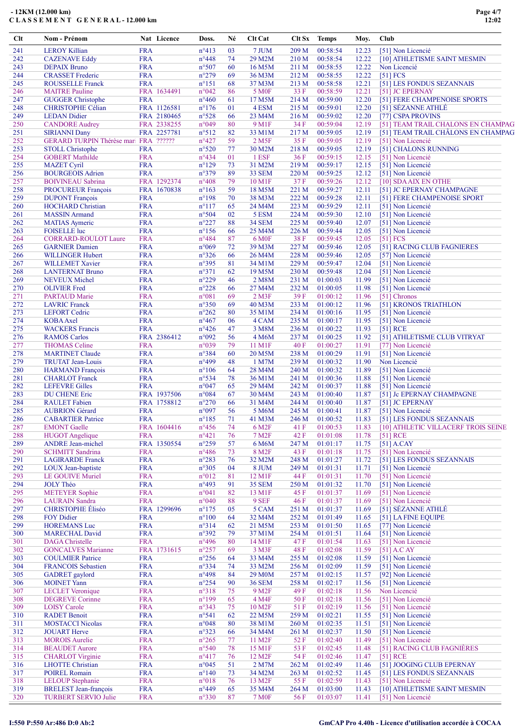| Clt        | Nom - Prénom                                         |                          | Nat Licence | Doss.                            | Né       | Clt Cat                |                | Clt Sx Temps         | Moy.           | Club                                              |
|------------|------------------------------------------------------|--------------------------|-------------|----------------------------------|----------|------------------------|----------------|----------------------|----------------|---------------------------------------------------|
| 241        | <b>LEROY Killian</b>                                 | <b>FRA</b>               |             | $n^{\circ}413$                   | 03       | 7 JUM                  | 209 M          | 00:58:54             | 12.23          | [51] Non Licencié                                 |
| 242        | <b>CAZENAVE Eddy</b>                                 | <b>FRA</b>               |             | $n^{\circ}448$                   | 74       | 29 M2M                 | 210 M          | 00:58:54             | 12.22          | [10] ATHLETISME SAINT MESMIN                      |
| 243        | <b>DEPAIX Bruno</b>                                  | <b>FRA</b>               |             | $n^{\circ}507$                   | 60       | 16 M5M                 | 211 M          | 00:58:55             | 12.22          | Non Licencié                                      |
| 244        | <b>CRASSET</b> Frederic                              | <b>FRA</b>               |             | $n^{\circ}279$                   | 69       | 36 M3M                 | 212 M          | 00:58:55             | 12.22          | [51] FCS                                          |
| 245        | <b>ROUSSELLE Franck</b>                              | <b>FRA</b>               |             | $n^{\circ}151$                   | 68       | 37 M3M                 | 213 M          | 00:58:58             | 12.21          | [51] LES FONDUS SEZANNAIS                         |
| 246        | <b>MAITRE Pauline</b>                                |                          | FRA 1634491 | $n^{\circ}042$                   | 86       | 5 M <sub>OF</sub>      | 33 F           | 00:58:59             | 12.21          | [51] JC EPERNAY                                   |
| 247        | <b>GUGGER Christophe</b>                             | <b>FRA</b>               |             | $n^{\circ}460$                   | 61       | 17 M5M                 | 214 M          | 00:59:00             | 12.20          | [51] FERE CHAMPENOISE SPORTS                      |
| 248        | <b>CHRISTOPHE Célian</b>                             |                          | FRA 1126581 | $n^{\circ}176$                   | 01       | 4 ESM                  | 215 M          | 00:59:01             | 12.20          | [51] SÉZANNE ATHLÉ                                |
| 249        | <b>LEDAN</b> Didier                                  |                          | FRA 2180465 | $n^{\circ}528$                   | 66       | 23 M4M                 | 216 M          | 00:59:02             | 12.20          | [77] CSPA PROVINS                                 |
| 250        | <b>CANDORE Audrey</b>                                |                          | FRA 2338255 | n°049                            | 80       | 9 M1F                  | 34 F           | 00:59:04             | 12.19          | [51] TEAM TRAIL CHALONS EN CHAMPAG                |
| 251        | <b>SIRIANNI Dany</b>                                 |                          | FRA 2257781 | $n^{\circ}512$                   | 82       | 33 M1M                 | 217 M          | 00:59:05             | 12.19          | [51] TEAM TRAIL CHÂLONS EN CHAMPAG                |
| 252        | <b>GERARD TURPIN Thérèse mari FRA ??????</b>         |                          |             | $n^{\circ}427$                   | 59       | $2$ M <sub>5</sub> $F$ | 35 F           | 00:59:05             | 12.19          | [51] Non Licencié                                 |
| 253        | <b>STOLL Christophe</b>                              | <b>FRA</b>               |             | $n^{\circ}520$                   | 77       | 30 M2M                 | 218 M          | 00:59:05             | 12.19          | [51] CHALONS RUNNING                              |
| 254        | <b>GOBERT</b> Mathilde                               | <b>FRA</b>               |             | $n^{\circ}434$                   | 01       | 1 ESF                  | 36 F           | 00:59:15             | 12.15          | [51] Non Licencié                                 |
| 255<br>256 | <b>MAZET Cyril</b><br><b>BOURGEOIS Adrien</b>        | <b>FRA</b><br><b>FRA</b> |             | $n^{\circ}129$<br>$n^{\circ}379$ | 73<br>89 | 31 M2M<br>33 SEM       | 219 M<br>220 M | 00:59:17<br>00:59:25 | 12.15<br>12.12 | [51] Non Licencié                                 |
| 257        | <b>BOIVINEAU Sabrina</b>                             |                          | FRA 1292374 | $n^{\circ}408$                   | 79       | 10 M1F                 | 37F            | 00:59:26             | 12.12          | [51] Non Licencié                                 |
| 258        | PROCUREUR François                                   |                          | FRA 1670838 | $n^{\circ}163$                   | 59       | 18 M5M                 | 221 M          | 00:59:27             | 12.11          | [10] SDA AIX EN OTHE<br>[51] JC EPERNAY CHAMPAGNE |
| 259        | <b>DUPONT</b> François                               | <b>FRA</b>               |             | $n^{\circ}198$                   | 70       | 38 M3M                 | 222 M          | 00:59:28             | 12.11          | [51] FERE CHAMPENOISE SPORT                       |
| 260        | <b>HOCHARD Christian</b>                             | <b>FRA</b>               |             | $n^{\circ}117$                   | 65       | 24 M4M                 | 223 M          | 00:59:29             | 12.11          | [51] Non Licencié                                 |
| 261        | <b>MASSIN</b> Armand                                 | <b>FRA</b>               |             | $n^{\circ}504$                   | 02       | 5 ESM                  | 224 M          | 00:59:30             | 12.10          | [51] Non Licencié                                 |
| 262        | <b>MATIAS</b> Aymeric                                | <b>FRA</b>               |             | $n^{\circ}227$                   | 88       | 34 SEM                 | 225 M          | 00:59:40             | 12.07          | [51] Non Licencié                                 |
| 263        | <b>FOISELLE</b> luc                                  | <b>FRA</b>               |             | $n^{\circ}156$                   | 66       | 25 M4M                 | 226 M          | 00:59:44             | 12.05          | [51] Non Licencié                                 |
| 264        | <b>CORRARD-ROULOT Laure</b>                          | <b>FRA</b>               |             | $n^{\circ}484$                   | 87       | 6 M <sub>OF</sub>      | 38 F           | 00:59:45             | 12.05          | [51] FCS                                          |
| 265        | <b>GARNIER Damien</b>                                | <b>FRA</b>               |             | n°069                            | 72       | 39 M3M                 | 227 M          | 00:59:46             | 12.05          | [51] RACING CLUB FAGNIERES                        |
| 266        | <b>WILLINGER Hubert</b>                              | <b>FRA</b>               |             | $n^{\circ}326$                   | 66       | 26 M4M                 | 228 M          | 00:59:46             | 12.05          | [57] Non Licencié                                 |
| 267        | <b>WILLEMET Xavier</b>                               | <b>FRA</b>               |             | n°395                            | 81       | 34 M1M                 | 229 M          | 00:59:47             | 12.04          | [51] Non Licencié                                 |
| 268        | <b>LANTERNAT Bruno</b>                               | <b>FRA</b>               |             | $n^{\circ}371$                   | 62       | 19 M5M                 | 230 M          | 00:59:48             | 12.04          | [51] Non Licencié                                 |
| 269        | <b>NEVEUX Michel</b>                                 | <b>FRA</b>               |             | $n^{\circ}229$                   | 46       | 2 M8M                  | 231 M          | 01:00:03             | 11.99          | [51] Non Licencié                                 |
| 270        | <b>OLIVIER Fred</b>                                  | <b>FRA</b>               |             | $n^{\circ}228$                   | 66       | 27 M4M                 | 232 M          | 01:00:05             | 11.98          | [51] Non Licencié                                 |
| 271        | <b>PARTAUD Marie</b>                                 | <b>FRA</b>               |             | $n^{\circ}081$                   | 69       | $2$ M $3F$             | 39F            | 01:00:12             | 11.96          | [51] Chronos                                      |
| 272        | <b>LAVRIC Franck</b>                                 | <b>FRA</b>               |             | $n^{\circ}350$                   | 69       | 40 M3M                 | 233 M          | 01:00:12             | 11.96          | [51] KRONOS TRIATHLON                             |
| 273        | <b>LEFORT</b> Cedric                                 | <b>FRA</b>               |             | $n^{\circ}262$                   | 80       | 35 M1M                 | 234 M          | 01:00:16             | 11.95          | [51] Non Licencié                                 |
| 274        | <b>KOBA</b> Axel                                     | <b>FRA</b>               |             | $n^{\circ}467$                   | 06       | 4 CAM                  | 235 M          | 01:00:17             | 11.95          | [51] Non Licencié                                 |
| 275        | <b>WACKERS</b> Francis                               | <b>FRA</b>               |             | $n^{\circ}426$                   | 47       | 3 M8M                  | 236 M          | 01:00:22             | 11.93          | [51] RCE                                          |
| 276        | <b>RAMOS Carlos</b>                                  |                          | FRA 2386412 | n°092                            | 56       | 4 M6M                  | 237 M          | 01:00:25             | 11.92          | [51] ATHLETISME CLUB VITRYAT                      |
| 277        | <b>THOMAS</b> Celine                                 | <b>FRA</b>               |             | n°039                            | 79       | 11 M1F                 | 40 F           | 01:00:27             | 11.91          | [77] Non Licencié                                 |
| 278        | <b>MARTINET Claude</b>                               | <b>FRA</b>               |             | n°384                            | 60       | 20 M5M                 | 238 M          | 01:00:29             | 11.91          | [51] Non Licencié                                 |
| 279        | <b>TRUTAT Jean-Louis</b>                             | <b>FRA</b>               |             | n°499                            | 48       | 1 M7M                  | 239 M          | 01:00:32             | 11.90          | Non Licencié                                      |
| 280        | <b>HARMAND</b> François                              | <b>FRA</b>               |             | $n^{\circ}106$                   | 64       | 28 M4M                 | 240 M          | 01:00:32             | 11.89          | [51] Non Licencié                                 |
| 281        | <b>CHARLOT</b> Franck                                | <b>FRA</b>               |             | $n^{\circ}534$                   | 78       | 36 M1M                 | 241 M          | 01:00:36             | 11.88          | [51] Non Licencié                                 |
| 282        | <b>LEFEVRE Gilles</b>                                | <b>FRA</b>               |             | $n^{\circ}047$                   | 65       | 29 M4M                 | 242 M          | 01:00:37             | 11.88          | [51] Non Licencié                                 |
| 283        | <b>DU CHENE Eric</b>                                 |                          | FRA 1937506 | $n^{\circ}084$                   | 67       | 30 M4M                 | 243 M          | 01:00:40             | 11.87          | [51] Jc EPERNAY CHAMPAGNE                         |
| 284        | <b>RAULET</b> Fabien                                 |                          | FRA 1758812 | $n^{\circ}270$                   | 66       | 31 M4M                 | 244 M          | 01:00:40             | 11.87          | [51] JC EPERNAY                                   |
| 285        | <b>AUBRION</b> Gérard                                | <b>FRA</b>               |             | n°097                            | 56       | 5 M6M                  | 245 M          | 01:00:41             | 11.87          | [51] Non Licencié                                 |
| 286        | <b>CABARTIER Patrice</b>                             | <b>FRA</b>               |             | $n^{\circ}185$                   | 71       | 41 M3M                 | 246 M          | 01:00:52             | 11.83          | [51] LES FONDUS SEZANNAIS                         |
| 287        | <b>EMONT</b> Gaelle                                  |                          | FRA 1604416 | $n^{\circ}456$                   | 74       | 6 M <sub>2F</sub>      | 41 F           | 01:00:53             | 11.83          | [10] ATHLETIC VILLACERF TROIS SEINE               |
| 288        | <b>HUGOT</b> Angelique                               | <b>FRA</b>               |             | $n^{\circ}421$                   | 76       | 7 M <sub>2</sub> F     | 42 F           | 01:01:08             | 11.78          | [51] RCE                                          |
| 289        | <b>ANDRE</b> Jean-michel                             |                          | FRA 1350554 | $n^{\circ}259$                   | 57       | 6 M6M                  | 247 M          | 01:01:17             | 11.75          | $[51]$ A.CAY                                      |
| 290        | <b>SCHMITT Sandrina</b>                              | <b>FRA</b>               |             | $n^{\circ}486$                   | 73       | 8 M <sub>2F</sub>      | 43 F           | 01:01:18             | 11.75          | [51] Non Licencié                                 |
| 291        | <b>LAGIRARDE</b> Franck                              | <b>FRA</b>               |             | $n^{\circ}283$                   | 76       | 32 M2M                 | 248 M          | 01:01:27             | 11.72          | [51] LES FONDUS SEZANNAIS                         |
| 292        | <b>LOUX</b> Jean-baptiste                            | <b>FRA</b>               |             | $n^{\circ}305$                   | 04       | 8 JUM                  | 249 M          | 01:01:31             | 11.71          | [51] Non Licencié                                 |
| 293        | <b>LE GOUIVE Muriel</b>                              | <b>FRA</b>               |             | $n^{\circ}012$                   | 81       | 12 M1F                 | 44 F           | 01:01:31             | 11.70          | [51] Non Licencié                                 |
| 294        | <b>JOLY Théo</b>                                     | <b>FRA</b>               |             | $n^{\circ}493$                   | 91       | <b>35 SEM</b>          | 250 M          | 01:01:32             | 11.70          | [51] Non Licencié                                 |
| 295        | <b>METEYER Sophie</b>                                | <b>FRA</b>               |             | $n^{\circ}041$                   | 82       | 13 M1F                 | 45 F           | 01:01:37             | 11.69          | [51] Non Licencié                                 |
| 296        | <b>LAURAIN</b> Sandra                                | <b>FRA</b>               |             | $n^{\circ}040$                   | 88       | 9 SEF                  | 46 F           | 01:01:37             | 11.69          | [51] Non Licencié                                 |
| 297        | <b>CHRISTOPHE Éliséo</b>                             |                          | FRA 1299696 | $n^{\circ}175$                   | 05       | 5 CAM                  | 251 M          | 01:01:37             | 11.69          | [51] SÉZANNE ATHLÉ                                |
| 298        | <b>FOY Didier</b>                                    | <b>FRA</b>               |             | $n^{\circ}100$                   | 64       | 32 M4M                 | 252 M          | 01:01:49             | 11.65          | [51] LA FINE EQUIPE                               |
| 299        | <b>HOREMANS Luc</b>                                  | <b>FRA</b>               |             | $n^{\circ}314$                   | 62       | 21 M5M                 | 253 M          | 01:01:50             | 11.65          | [77] Non Licencié                                 |
| 300        | <b>MARECHAL David</b>                                | <b>FRA</b>               |             | n°392                            | 79       | 37 M1M                 | 254 M          | 01:01:51             | 11.64          | [51] Non Licencié                                 |
| 301<br>302 | <b>DAGA</b> Christelle                               | <b>FRA</b>               |             | $n^{\circ}496$                   | 80       | 14 M1F                 | 47 F           | 01:01:54             | 11.63          | [51] Non Licencié                                 |
| 303        | <b>GONCALVES Marianne</b><br><b>COULMIER Patrice</b> | <b>FRA</b>               | FRA 1731615 | $n^{\circ}257$<br>$n^{\circ}256$ | 69<br>64 | 3 M3F<br>33 M4M        | 48 F           | 01:02:08<br>01:02:08 | 11.59<br>11.59 | $[51]$ A.C AY<br>[51] Non Licencié                |
| 304        | <b>FRANCOIS Sebastien</b>                            | <b>FRA</b>               |             | $n^{\circ}334$                   | 74       | 33 M2M                 | 255 M<br>256 M | 01:02:09             | 11.59          | [51] Non Licencié                                 |
| 305        | <b>GADRET</b> gaylord                                | <b>FRA</b>               |             | $n^{\circ}498$                   | 84       | 29 M0M                 | 257 M          | 01:02:15             | 11.57          | [92] Non Licencié                                 |
| 306        | <b>MOINET Yann</b>                                   | <b>FRA</b>               |             | $n^{\circ}254$                   | 90       | <b>36 SEM</b>          | 258 M          | 01:02:17             | 11.56          | [51] Non Licencié                                 |
| 307        | <b>LECLET</b> Veronique                              | <b>FRA</b>               |             | $n^{\circ}318$                   | 75       | 9 M <sub>2F</sub>      | 49 F           | 01:02:18             | 11.56          | Non Licencié                                      |
| 308        | <b>DEGREVE</b> Corinne                               | <b>FRA</b>               |             | $n^{\circ}199$                   | 65       | 4 M4F                  | 50 F           | 01:02:18             | 11.56          | [51] Non Licencié                                 |
| 309        | <b>LOISY</b> Carole                                  | <b>FRA</b>               |             | $n^{\circ}343$                   | 75       | 10 M <sub>2F</sub>     | 51 F           | 01:02:19             | 11.56          | [51] Non Licencié                                 |
| 310        | <b>RADET</b> Benoit                                  | <b>FRA</b>               |             | $n^{\circ}541$                   | 62       | 22 M5M                 | 259 M          | 01:02:21             | 11.55          | [51] Non Licencié                                 |
| 311        | <b>MOSTACCI Nicolas</b>                              | <b>FRA</b>               |             | $n^{\circ}048$                   | 80       | 38 M1M                 | 260 M          | 01:02:35             | 11.51          | [51] Non Licencié                                 |
| 312        | <b>JOUART Herve</b>                                  | <b>FRA</b>               |             | $n^{\circ}323$                   | 66       | 34 M4M                 | 261 M          | 01:02:37             | 11.50          | [51] Non Licencié                                 |
| 313        | <b>MOROIS Aurelie</b>                                | <b>FRA</b>               |             | $n^{\circ}265$                   | 77       | 11 M <sub>2</sub> F    | 52 F           | 01:02:40             | 11.49          | [51] Non Licencié                                 |
| 314        | <b>BEAUDET</b> Aurore                                | <b>FRA</b>               |             | $n^{\circ}540$                   | 78       | 15 M1F                 | 53 F           | 01:02:45             | 11.48          | [51] RACING CLUB FAGNIÈRES                        |
| 315        | <b>CHARLOT</b> Virginie                              | <b>FRA</b>               |             | $n^{\circ}417$                   | 76       | 12 M <sub>2</sub> F    | 54 F           | 01:02:46             | 11.47          | [51] RCE                                          |
| 316        | <b>LHOTTE Christian</b>                              | <b>FRA</b>               |             | $n^{\circ}045$                   | 51       | 2 M7M                  | 262 M          | 01:02:49             | 11.46          | [51] JOOGING CLUB EPERNAY                         |
| 317        | <b>POIREL Romain</b>                                 | <b>FRA</b>               |             | $n^{\circ}140$                   | 73       | 34 M2M                 | 263 M          | 01:02:52             | 11.45          | [51] LES FONDUS SEZANNAIS                         |
| 318        | <b>LELOUP</b> Stephanie                              | <b>FRA</b>               |             | $n^{\circ}018$                   | 76       | 13 M <sub>2</sub> F    | 55 F           | 01:02:59             | 11.43          | [51] Non Licencié                                 |
| 319        | <b>BRELEST</b> Jean-françois                         | <b>FRA</b>               |             | $n^{\circ}449$                   | 65       | 35 M4M                 | 264 M          | 01:03:00             | 11.43          | [10] ATHLETISME SAINT MESMIN                      |
| 320        | <b>TURBERT SERVIO Julie</b>                          | <b>FRA</b>               |             | $n^{\circ}330$                   | 87       | <b>7 M0F</b>           | 56 F           | 01:03:07             | 11.41          | [51] Non Licencié                                 |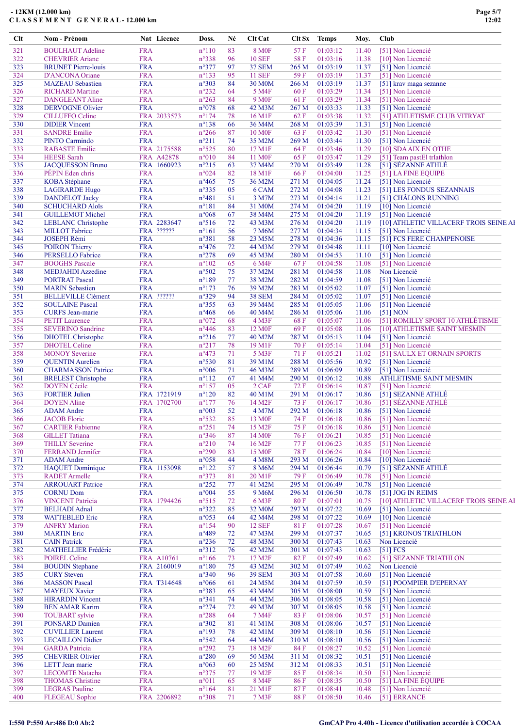| $Cl$ t     | Nom - Prénom                                      | Nat Licence               | Doss.                            | Né       | Clt Cat                      | Clt Sx         | <b>Temps</b>         | Moy.           | Club |                                                   |
|------------|---------------------------------------------------|---------------------------|----------------------------------|----------|------------------------------|----------------|----------------------|----------------|------|---------------------------------------------------|
| 321        | <b>BOULHAUT</b> Adeline                           | <b>FRA</b>                | $n^{\circ}110$                   | 83       | <b>8 MOF</b>                 | 57 F           | 01:03:12             | 11.40          |      | [51] Non Licencié                                 |
| 322        | <b>CHEVRIER Ariane</b>                            | <b>FRA</b>                | n°338                            | 96       | <b>10 SEF</b>                | 58 F           | 01:03:16             | 11.38          |      | [10] Non Licencié                                 |
| 323        | <b>BRUNET</b> Pierre-louis                        | <b>FRA</b>                | n°377                            | 97       | <b>37 SEM</b>                | 265 M          | 01:03:19             | 11.37          |      | [51] Non Licencié                                 |
| 324        | D'ANCONA Oriane                                   | <b>FRA</b>                | $n^{\circ}$ 133                  | 95       | <b>11 SEF</b>                | 59 F           | 01:03:19             | 11.37          |      | [51] Non Licencié                                 |
| 325        | <b>MAZEAU</b> Sebastien                           | <b>FRA</b>                | n°303                            | 84       | 30 M0M                       | 266M           | 01:03:19             | 11.37          |      | [51] krav maga sezanne                            |
| 326        | <b>RICHARD Martine</b>                            | <b>FRA</b>                | $n^{\circ}232$                   | 64       | 5 M4F                        | 60 F           | 01:03:29             | 11.34          |      | [51] Non Licencié                                 |
| 327        | <b>DANGLEANT Aline</b>                            | <b>FRA</b>                | $n^{\circ}263$                   | 84       | 9 M <sub>OF</sub>            | 61 F           | 01:03:29             | 11.34          |      | [51] Non Licencié                                 |
| 328<br>329 | <b>DERVOGNE Olivier</b><br><b>CILLUFFO</b> Celine | <b>FRA</b><br>FRA 2033573 | $n^{\circ}078$<br>$n^{\circ}174$ | 68<br>78 | 42 M3M<br>16 M1F             | 267 M<br>62 F  | 01:03:33<br>01:03:38 | 11.33<br>11.32 |      | [51] Non Licencié                                 |
| 330        | <b>DIDIER</b> Vincent                             | <b>FRA</b>                | $n^{\circ}$ 138                  | 66       | 36 M4M                       | 268 M          | 01:03:39             | 11.31          |      | [51] ATHLETISME CLUB VITRYAT<br>[51] Non Licencié |
| 331        | <b>SANDRE Emilie</b>                              | <b>FRA</b>                | $n^{\circ}266$                   | 87       | <b>10 M0F</b>                | 63 F           | 01:03:42             | 11.30          |      | [51] Non Licencié                                 |
| 332        | PINTO Carmindo                                    | <b>FRA</b>                | $n^{\circ}211$                   | 74       | 35 M2M                       | 269 M          | 01:03:44             | 11.30          |      | [51] Non Licencié                                 |
| 333        | <b>RABASTE Emilie</b>                             | FRA 2175588               | $n^{\circ}525$                   | 80       | 17 M1F                       | 64 F           | 01:03:46             | 11.29          |      | [10] SDA AIX EN OTHE                              |
| 334        | <b>HEESE</b> Sarah                                | FRA A42878                | $n^{\circ}010$                   | 84       | <b>11 MOF</b>                | 65 F           | 01:03:47             | 11.29          |      | [51] Team pastEl trIathlon                        |
| 335        | <b>JACQUESSON Bruno</b>                           | FRA 1660923               | $n^{\circ}215$                   | 63       | 37 M4M                       | 270 M          | 01:03:49             | 11.28          |      | [51] SÉZANNE ATHLÉ                                |
| 336        | PÉPIN Eden chris                                  | <b>FRA</b>                | n°024                            | 82       | 18 M1F                       | 66 F           | 01:04:00             | 11.25          |      | [51] LA FINE EQUIPE                               |
| 337        | <b>KOBA</b> Stéphane                              | <b>FRA</b>                | $n^{\circ}465$                   | 75       | 36 M2M                       | 271 M          | 01:04:05             | 11.24          |      | [51] Non Licencié                                 |
| 338        | <b>LAGIRARDE Hugo</b>                             | <b>FRA</b>                | n°335                            | 05       | 6 CAM                        | 272 M          | 01:04:08             | 11.23          |      | [51] LES FONDUS SEZANNAIS                         |
| 339        | <b>DANDELOT</b> Jacky                             | <b>FRA</b>                | $n^{\circ}481$                   | 51       | 3 M7M                        | 273 M          | 01:04:14             | 11.21          |      | [51] CHÂLONS RUNNING                              |
| 340        | <b>SCHUCHARD Aloïs</b>                            | <b>FRA</b>                | $n^{\circ}181$                   | 84       | 31 M0M                       | 274 M          | 01:04:20             | 11.19          |      | [10] Non Licencié                                 |
| 341        | <b>GUILLEMOT Michel</b>                           | <b>FRA</b>                | n°068                            | 67       | 38 M4M                       | 275 M          | 01:04:20             | 11.19          |      | [51] Non Licencié                                 |
| 342        | <b>LEBLANC</b> Christophe                         | FRA 2283647               | n°516                            | 72       | 43 M3M                       | 276 M          | 01:04:20             | 11.19          |      | [10] ATHLETIC VILLACERF TROIS SEINE AI            |
| 343        | <b>MILLOT</b> Fabrice                             | FRA ??????                | $n^{\circ}161$                   | 56       | 7 M6M                        | 277 M          | 01:04:34             | 11.15          |      | [51] Non Licencié                                 |
| 344        | <b>JOSEPH Rémi</b>                                | <b>FRA</b>                | n°381                            | 58       | 23 M5M                       | 278 M          | 01:04:36             | 11.15          |      | [51] FCS FERE CHAMPENOISE                         |
| 345        | <b>POIRON</b> Thierry                             | <b>FRA</b><br><b>FRA</b>  | $n^{\circ}476$                   | 72       | 44 M3M                       | 279 M          | 01:04:48             | 11.11          |      | [10] Non Licencié                                 |
| 346<br>347 | <b>PERSELLO Fabrice</b><br><b>BOOGHS</b> Pascale  | <b>FRA</b>                | $n^{\circ}278$<br>$n^{\circ}102$ | 69<br>65 | 45 M3M<br>6 M4F              | 280 M<br>67 F  | 01:04:53<br>01:04:58 | 11.10<br>11.08 |      | [51] Non Licencié<br>[51] Non Licencié            |
| 348        | <b>MEDJAHDI</b> Azzedine                          | <b>FRA</b>                | n°502                            | 75       | 37 M2M                       | 281 M          | 01:04:58             | 11.08          |      | Non Licencié                                      |
| 349        | <b>PORTRAT Pascal</b>                             | <b>FRA</b>                | $n^{\circ}189$                   | 77       | 38 M2M                       | 282 M          | 01:04:59             | 11.08          |      | [51] Non Licencié                                 |
| 350        | <b>MARIN</b> Sebastien                            | <b>FRA</b>                | $n^{\circ}173$                   | 76       | 39 M2M                       | 283 M          | 01:05:02             | 11.07          |      | [51] Non Licencié                                 |
| 351        | <b>BELLEVILLE Clément</b>                         | FRA ??????                | n°329                            | 94       | <b>38 SEM</b>                | 284 M          | 01:05:02             | 11.07          |      | [51] Non Licencié                                 |
| 352        | <b>SOULAINE Pascal</b>                            | <b>FRA</b>                | $n^{\circ}355$                   | 63       | 39 M4M                       | 285 M          | 01:05:05             | 11.06          |      | [51] Non Licencié                                 |
| 353        | <b>CURFS</b> Jean-marie                           | <b>FRA</b>                | $n^{\circ}468$                   | 66       | 40 M4M                       | 286 M          | 01:05:06             | 11.06          |      | $[51]$ NON                                        |
| 354        | <b>PETIT Laurence</b>                             | <b>FRA</b>                | n°072                            | 68       | 4 M3F                        | 68F            | 01:05:07             | 11.06          |      | [51] ROMILLY SPORT 10 ATHLÉTISME                  |
| 355        | <b>SEVERINO Sandrine</b>                          | <b>FRA</b>                | $n^{\circ}446$                   | 83       | 12 M <sub>OF</sub>           | 69F            | 01:05:08             | 11.06          |      | [10] ATHLETISME SAINT MESMIN                      |
| 356        | <b>DHOTEL Christophe</b>                          | <b>FRA</b>                | $n^{\circ}216$                   | 77       | 40 M2M                       | 287 M          | 01:05:13             | 11.04          |      | [51] Non Licencié                                 |
| 357        | <b>DHOTEL Celine</b>                              | <b>FRA</b>                | $n^{\circ}217$                   | 78       | 19 M1F                       | 70 F           | 01:05:14             | 11.04          |      | [51] Non Licencié                                 |
| 358        | <b>MONOY</b> Severine                             | <b>FRA</b>                | $n^{\circ}473$                   | 71       | 5 M3F                        | 71 F           | 01:05:21             | 11.02          |      | [51] SAULX ET ORNAIN SPORTS                       |
| 359        | <b>QUENTIN</b> Aurelien                           | <b>FRA</b>                | $n^{\circ}530$                   | 81       | 39 M1M                       | 288 M          | 01:05:56             | 10.92          |      | [51] Non Licencié                                 |
| 360        | <b>CHARMASSON Patrice</b>                         | <b>FRA</b>                | n°006                            | 71       | 46 M3M                       | 289 M          | 01:06:09             | 10.89          |      | [51] Non Licencié                                 |
| 361        | <b>BRELEST</b> Christophe                         | <b>FRA</b>                | $n^{\circ}112$                   | 67       | 41 M4M                       | 290 M          | 01:06:12             | 10.88          |      | ATHLETISME SAINT MESMIN                           |
| 362        | <b>DOYEN Cécile</b>                               | <b>FRA</b>                | $n^{\circ}157$                   | 05       | 2 CAF                        | 72 F           | 01:06:14             | 10.87          |      | [51] Non Licencié                                 |
| 363        | <b>FORTIER Julien</b>                             | FRA 1721919               | $n^{\circ}120$                   | 82       | 40 M1M                       | 291 M          | 01:06:17             | 10.86          |      | [51] SEZANNE ATHLÉ                                |
| 364        | <b>DOYEN</b> Aline                                | FRA 1702700               | $n^{\circ}177$                   | 76       | 14 M <sub>2F</sub>           | 73 F           | 01:06:17             | 10.86          |      | [51] SÉZANNE ATHLÉ                                |
| 365        | <b>ADAM</b> Andre                                 | <b>FRA</b>                | n°003                            | 52       | 4 M7M                        | 292 M          | 01:06:18             | 10.86          |      | [51] Non Licencié                                 |
| 366        | <b>JACOB</b> Florie                               | <b>FRA</b>                | $n^{\circ}532$                   | 85       | 13 M <sub>OF</sub>           | 74 F           | 01:06:18             | 10.86          |      | [51] Non Licencié                                 |
| 367        | <b>CARTIER Fabienne</b>                           | <b>FRA</b>                | $n^{\circ}251$                   | 74       | 15 M2F                       | 75 F           | 01:06:18             | 10.86          |      | [51] Non Licencié                                 |
| 368<br>369 | <b>GILLET</b> Tatiana<br><b>THILLY Severine</b>   | <b>FRA</b><br><b>FRA</b>  | n°346<br>$n^{\circ}210$          | 87<br>74 | 14 M <sub>OF</sub><br>16 M2F | 76 F<br>77 F   | 01:06:21<br>01:06:23 | 10.85<br>10.85 |      | [51] Non Licencié<br>[51] Non Licencié            |
| 370        | <b>FERRAND Jennifer</b>                           | <b>FRA</b>                | $n^{\circ}290$                   | 83       | 15 M <sub>OF</sub>           | <b>78 F</b>    | 01:06:24             | 10.84          |      | [10] Non Licencié                                 |
| 371        | <b>ADAM</b> Andre                                 | <b>FRA</b>                | $n^{\circ}058$                   | 44       | 4 M8M                        | 293 M          | 01:06:26             | 10.84          |      | [10] Non Licencié                                 |
| 372        | <b>HAQUET</b> Dominique                           | FRA 1153098               | $n^{\circ}122$                   | 57       | 8 M6M                        | 294 M          | 01:06:44             | 10.79          |      | [51] SÉZANNE ATHLÉ                                |
| 373        | <b>RADET</b> Armelle                              | <b>FRA</b>                | n°373                            | 81       | 20 M1F                       | 79 F           | 01:06:49             | 10.78          |      | [51] Non Licencié                                 |
| 374        | <b>ARROUART Patrice</b>                           | <b>FRA</b>                | $n^{\circ}252$                   | 77       | 41 M2M                       | 295 M          | 01:06:49             | 10.78          |      | [51] Non Licencié                                 |
| 375        | <b>CORNU Dom</b>                                  | <b>FRA</b>                | n°004                            | 55       | 9 M6M                        | 296 M          | 01:06:50             | 10.78          |      | [51] JOG IN REIMS                                 |
| 376        | <b>VINCENT Patricia</b>                           | FRA 1794426               | $n^{\circ}515$                   | 72       | 6 M3F                        | 80F            | 01:07:01             | 10.75          |      | [10] ATHLETIC VILLACERF TROIS SEINE AI            |
| 377        | <b>BELHADI</b> Adnal                              | <b>FRA</b>                | $n^{\circ}322$                   | 85       | 32 M0M                       | 297 M          | 01:07:22             | 10.69          |      | [51] Non Licencié                                 |
| 378        | <b>WATTEBLED Eric</b>                             | <b>FRA</b>                | n°053                            | 64       | 42 M4M                       | 298 M          | 01:07:22             | 10.69          |      | [10] Non Licencié                                 |
| 379        | <b>ANFRY Marion</b>                               | <b>FRA</b>                | $n^{\circ}154$                   | 90       | <b>12 SEF</b>                | 81 F           | 01:07:28             | 10.67          |      | [51] Non Licencié                                 |
| 380        | <b>MARTIN</b> Eric                                | <b>FRA</b>                | n°489                            | 72       | 47 M3M                       | 299 M          | 01:07:37             | 10.65          |      | [51] KRONOS TRIATHLON                             |
| 381        | <b>CAIN Patrick</b>                               | <b>FRA</b>                | $n^{\circ}236$                   | 72       | 48 M3M                       | 300 M          | 01:07:43             | 10.63          |      | Non Licencié                                      |
| 382        | <b>MATHELLIER Frédéric</b>                        | <b>FRA</b>                | $n^{\circ}312$                   | 76       | 42 M2M                       | 301 M          | 01:07:43             | 10.63          |      | [51] FCS                                          |
| 383        | <b>POIREL Celine</b>                              | FRA A10761                | $n^{\circ}166$                   | 73       | 17 M2F                       | 82 F           | 01:07:49             | 10.62          |      | [51] SEZANNE TRIATHLON                            |
| 384        | <b>BOUDIN</b> Stephane                            | FRA 2160019               | $n^{\circ}180$                   | 75       | 43 M2M                       | 302 M          | 01:07:49             | 10.62          |      | Non Licencié                                      |
| 385        | <b>CURY</b> Steven                                | <b>FRA</b>                | $n^{\circ}340$                   | 96       | <b>39 SEM</b>                | 303 M          | 01:07:58             | 10.60          |      | [51] Non Licencié                                 |
| 386<br>387 | <b>MASSON</b> Pascal                              | FRA T314648               | $n^{\circ}066$<br>n°383          | 61<br>65 | 24 M5M                       | 304 M          | 01:07:59<br>01:08:00 | 10.59          |      | [51] POOMPIER D'EPERNAY<br>[51] Non Licencié      |
| 388        | <b>MAYEUX Xavier</b><br><b>HIRARDIN Vincent</b>   | <b>FRA</b><br><b>FRA</b>  | $n^{\circ}341$                   | 74       | 43 M4M<br>44 M2M             | 305 M<br>306 M | 01:08:05             | 10.59<br>10.58 |      | [51] Non Licencié                                 |
| 389        | <b>BEN AMAR Karim</b>                             | <b>FRA</b>                | $n^{\circ}274$                   | 72       | 49 M3M                       | 307 M          | 01:08:05             | 10.58          |      | [51] Non Licencié                                 |
| 390        | <b>TOUBART</b> sylvie                             | <b>FRA</b>                | $n^{\circ}288$                   | 64       | 7 M4F                        | 83 F           | 01:08:06             | 10.57          |      | [51] Non Licencié                                 |
| 391        | <b>PONSARD Damien</b>                             | <b>FRA</b>                | $n^{\circ}302$                   | 81       | 41 M1M                       | 308 M          | 01:08:06             | 10.57          |      | [51] Non Licencié                                 |
| 392        | <b>CUVILLIER Laurent</b>                          | <b>FRA</b>                | $n^{\circ}193$                   | 78       | 42 M1M                       | 309 M          | 01:08:10             | 10.56          |      | [51] Non Licencié                                 |
| 393        | <b>LECAILLON Didier</b>                           | <b>FRA</b>                | n°542                            | 64       | 44 M4M                       | 310 M          | 01:08:10             | 10.56          |      | [51] Non Licencié                                 |
| 394        | <b>GARDA</b> Patricia                             | <b>FRA</b>                | $n^{\circ}292$                   | 73       | 18 M2F                       | 84 F           | 01:08:27             | 10.52          |      | [51] Non Licencié                                 |
| 395        | <b>CHEVRIER Olivier</b>                           | <b>FRA</b>                | $n^{\circ}280$                   | 69       | 50 M3M                       | 311 M          | 01:08:32             | 10.51          |      | [51] Non Licencié                                 |
| 396        | LETT Jean marie                                   | <b>FRA</b>                | $n^{\circ}063$                   | 60       | 25 M5M                       | 312 M          | 01:08:33             | 10.51          |      | [51] Non Licencié                                 |
| 397        | <b>LECOMTE Natacha</b>                            | <b>FRA</b>                | n°375                            | 77       | 19 M <sub>2F</sub>           | 85F            | 01:08:34             | 10.50          |      | [51] Non Licencié                                 |
| 398        | <b>THOMAS Christine</b>                           | <b>FRA</b>                | $n^{\circ}011$                   | 65       | 8 M4F                        | 86F            | 01:08:35             | 10.50          |      | [51] LA FINE ÉQUIPE                               |
| 399        | <b>LEGRAS</b> Pauline                             | <b>FRA</b>                | $n^{\circ}164$                   | 81       | 21 M1F                       | 87 F           | 01:08:41             | 10.48          |      | [51] Non Licencié                                 |
| 400        | <b>FLEGEAU</b> Sophie                             | FRA 2206892               | $n^{\circ}308$                   | 71       | 7 M3F                        | <b>88F</b>     | 01:08:50             | 10.46          |      | [51] ERRANCE                                      |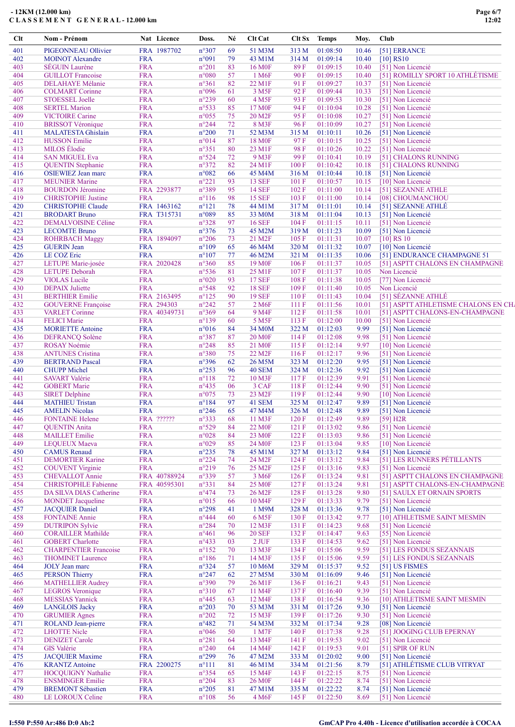| Clt | <b>Nom - Prénom</b>            |            | Nat Licence  | Doss.          | Né | Clt Cat             | Clt Sx | <b>Temps</b> | Moy.  | Club |                                      |
|-----|--------------------------------|------------|--------------|----------------|----|---------------------|--------|--------------|-------|------|--------------------------------------|
| 401 | PIGEONNEAU Ollivier            |            | FRA 1987702  | n°307          | 69 | 51 M3M              | 313 M  | 01:08:50     | 10.46 |      | [51] ERRANCE                         |
| 402 | <b>MOINOT</b> Alexandre        | <b>FRA</b> |              | n°091          | 79 | 43 M1M              | 314 M  | 01:09:14     | 10.40 |      | $[10]$ RS10                          |
| 403 | <b>SEGUIN</b> Laurène          | <b>FRA</b> |              | $n^{\circ}201$ | 83 | 16 M <sub>OF</sub>  | 89F    | 01:09:15     | 10.40 |      | [51] Non Licencié                    |
| 404 | <b>GUILLOT</b> Francoise       | <b>FRA</b> |              | $n^{\circ}080$ | 57 | 1 M <sub>6F</sub>   | 90 F   | 01:09:15     | 10.40 |      | [51] ROMILLY SPORT 10 ATHLÉTISME     |
| 405 | <b>DELAHAYE</b> Mélanie        | <b>FRA</b> |              | $n^{\circ}361$ | 82 | 22 M1F              | 91 F   | 01:09:27     | 10.37 |      | [51] Non Licencié                    |
| 406 | <b>COLMART</b> Corinne         | <b>FRA</b> |              | n°096          | 61 | 3 M <sub>5F</sub>   | 92F    | 01:09:44     | 10.33 |      | [51] Non Licencié                    |
| 407 | <b>STOESSEL Joelle</b>         | <b>FRA</b> |              | $n^{\circ}239$ | 60 | 4 M <sub>5F</sub>   | 93 F   | 01:09:53     | 10.30 |      | [51] Non Licencié                    |
| 408 | <b>SERTEL Marion</b>           | <b>FRA</b> |              | n°533          | 85 | 17 M <sub>OF</sub>  | 94 F   | 01:10:04     | 10.28 |      | [51] Non Licencié                    |
| 409 | <b>VICTOIRE Carine</b>         | <b>FRA</b> |              | $n^{\circ}055$ | 75 | 20 M <sub>2F</sub>  | 95F    | 01:10:08     | 10.27 |      | [51] Non Licencié                    |
| 410 | <b>BRISSOT</b> Véronique       | <b>FRA</b> |              | $n^{\circ}244$ | 72 | 8 M3F               | 96 F   | 01:10:09     | 10.27 |      | [51] Non Licencié                    |
| 411 | <b>MALATESTA Ghislain</b>      | <b>FRA</b> |              | $n^{\circ}200$ | 71 | 52 M3M              | 315 M  | 01:10:11     | 10.26 |      | [51] Non Licencié                    |
| 412 | <b>HUSSON Emilie</b>           | <b>FRA</b> |              | n°014          | 87 | <b>18 MOF</b>       | 97 F   | 01:10:15     | 10.25 |      | [51] Non Licencié                    |
| 413 | <b>MILOS</b> Elodie            | <b>FRA</b> |              | $n^{\circ}351$ | 80 | 23 M1F              | 98F    | 01:10:26     | 10.22 |      | [51] Non Licencié                    |
| 414 | <b>SAN MIGUEL Eva</b>          | <b>FRA</b> |              | n°524          | 72 | 9 M3F               | 99F    | 01:10:41     | 10.19 |      | [51] CHALONS RUNNING                 |
| 415 | <b>QUENTIN</b> Stephanie       | <b>FRA</b> |              | $n^{\circ}372$ | 82 | 24 M1F              | 100 F  | 01:10:42     | 10.18 |      | [51] CHALONS RUNNING                 |
| 416 | <b>OSIEWIEZ Jean marc</b>      | <b>FRA</b> |              | n°082          | 66 | 45 M4M              | 316 M  | 01:10:44     | 10.18 |      | [51] Non Licencié                    |
| 417 | <b>MEUNIER Marine</b>          | <b>FRA</b> |              | $n^{\circ}221$ | 93 | <b>13 SEF</b>       | 101 F  | 01:10:57     | 10.15 |      | [10] Non Licencié                    |
| 418 | <b>BOURDON Jéromine</b>        |            | FRA 2293877  | n°389          | 95 | <b>14 SEF</b>       | 102 F  | 01:11:00     | 10.14 |      | [51] SEZANNE ATHLE                   |
| 419 | <b>CHRISTOPHE Justine</b>      | <b>FRA</b> |              | $n^{\circ}116$ | 98 | <b>15 SEF</b>       | 103 F  | 01:11:00     | 10.14 |      | [08] CHOUMANCHOU                     |
| 420 | <b>CHRISTOPHE Claude</b>       |            | FRA 1463162  | $n^{\circ}121$ | 78 | 44 M1M              | 317 M  | 01:11:01     | 10.14 |      | [51] SEZANNE ATHLÉ                   |
| 421 | <b>BRODART Bruno</b>           |            | FRA T315731  | n°089          | 85 | 33 M <sub>0</sub> M | 318 M  | 01:11:04     | 10.13 |      | [51] Non Licencié                    |
| 422 | <b>DEMALVOISINE Céline</b>     | <b>FRA</b> |              | $n^{\circ}328$ | 97 | <b>16 SEF</b>       | 104 F  | 01:11:15     | 10.11 |      | [51] Non Licencié                    |
| 423 | <b>LECOMTE Bruno</b>           | <b>FRA</b> |              | $n^{\circ}376$ | 73 | 45 M2M              | 319 M  | 01:11:23     | 10.09 |      | [51] Non Licencié                    |
| 424 | <b>ROHRBACH Maggy</b>          |            | FRA 1894097  | $n^{\circ}206$ | 73 | 21 M <sub>2F</sub>  | 105 F  | 01:11:31     | 10.07 |      | $[10]$ RS 10                         |
| 425 | <b>GUERIN</b> Jean             | <b>FRA</b> |              | $n^{\circ}109$ | 65 | 46 M4M              | 320 M  | 01:11:32     | 10.07 |      | [10] Non Licencié                    |
| 426 | LE COZ Eric                    | <b>FRA</b> |              | $n^{\circ}107$ | 77 | 46 M2M              | 321 M  | 01:11:35     | 10.06 |      | [51] ENDURANCE CHAMPAGNE 51          |
| 427 | LETUPE Marie-josée             |            | FRA 2020428  | $n^{\circ}360$ | 85 | 19 M <sub>OF</sub>  | 106 F  | 01:11:37     | 10.05 |      | [51] ASPTT CHALONS EN CHAMPAGNE      |
|     |                                |            |              |                | 81 |                     |        | 01:11:37     |       |      | Non Licencié                         |
| 428 | <b>LETUPE</b> Deborah          | <b>FRA</b> |              | $n^{\circ}536$ |    | 25 M <sub>1F</sub>  | 107F   |              | 10.05 |      |                                      |
| 429 | <b>VIOLAS</b> Lucile           | <b>FRA</b> |              | $n^{\circ}020$ | 93 | <b>17 SEF</b>       | 108 F  | 01:11:38     | 10.05 |      | [77] Non Licencié                    |
| 430 | <b>DEPAIX</b> Juliette         | <b>FRA</b> |              | n°548          | 92 | <b>18 SEF</b>       | 109F   | 01:11:40     | 10.05 |      | Non Licencié                         |
| 431 | <b>BERTHIER Emilie</b>         |            | FRA 2163495  | $n^{\circ}125$ | 90 | <b>19 SEF</b>       | 110F   | 01:11:43     | 10.04 |      | [51] SÉZANNE ATHLÉ                   |
| 432 | <b>GOUVERNE Françoise</b>      |            | FRA 294303   | $n^{\circ}242$ | 57 | 2 M6F               | 111F   | 01:11:56     | 10.01 |      | [51] ASPTT ATHLETISME CHALONS EN CH. |
| 433 | <b>VARLET</b> Corinne          |            | FRA 40349731 | n°369          | 64 | 9 M4F               | 112F   | 01:11:58     | 10.01 |      | [51] ASPTT CHALONS-EN-CHAMPAGNE      |
| 434 | <b>FELICI</b> Marie            | <b>FRA</b> |              | $n^{\circ}139$ | 60 | 5 M <sub>5</sub> F  | 113 F  | 01:12:00     | 10.00 |      | [51] Non Licencié                    |
| 435 | <b>MORIETTE Antoine</b>        | <b>FRA</b> |              | $n^{\circ}016$ | 84 | 34 M <sub>0</sub> M | 322 M  | 01:12:03     | 9.99  |      | [51] Non Licencié                    |
| 436 | <b>DEFRANCQ Solène</b>         | <b>FRA</b> |              | $n^{\circ}387$ | 87 | <b>20 M0F</b>       | 114 F  | 01:12:08     | 9.98  |      | [51] Non Licencié                    |
| 437 | <b>ROSAY Noémie</b>            | <b>FRA</b> |              | $n^{\circ}248$ | 85 | 21 M <sub>OF</sub>  | 115 F  | 01:12:14     | 9.97  |      | [10] Non Licencié                    |
| 438 | <b>ANTUNES</b> Cristina        | <b>FRA</b> |              | n°380          | 75 | 22 M <sub>2F</sub>  | 116F   | 01:12:17     | 9.96  |      | [51] Non Licencié                    |
| 439 | <b>BERTRAND Pascal</b>         | <b>FRA</b> |              | n°396          | 62 | 26 M5M              | 323 M  | 01:12:20     | 9.95  |      | [51] Non Licencié                    |
| 440 | <b>CHUPP Michel</b>            | <b>FRA</b> |              | $n^{\circ}253$ | 96 | <b>40 SEM</b>       | 324 M  | 01:12:36     | 9.92  |      | [51] Non Licencié                    |
| 441 | <b>SAVART Valérie</b>          | <b>FRA</b> |              | $n^{\circ}118$ | 72 | 10 M3F              | 117 F  | 01:12:39     | 9.91  |      | [51] Non Licencié                    |
| 442 | <b>GOBERT Marie</b>            | <b>FRA</b> |              | $n^{\circ}435$ | 06 | 3 CAF               | 118F   | 01:12:44     | 9.90  |      | [51] Non Licencié                    |
| 443 | <b>SIRET Delphine</b>          | <b>FRA</b> |              | $n^{\circ}075$ | 73 | 23 M <sub>2F</sub>  | 119F   | 01:12:44     | 9.90  |      | [10] Non Licencié                    |
| 444 | <b>MATHIEU Tristan</b>         | <b>FRA</b> |              | $n^{\circ}184$ | 97 | 41 SEM              | 325 M  | 01:12:47     | 9.89  |      | [51] Non Licencié                    |
| 445 | <b>AMELIN Nicolas</b>          | <b>FRA</b> |              | $n^{\circ}246$ | 65 | 47 M4M              | 326 M  | 01:12:48     | 9.89  |      | [51] Non Licencié                    |
| 446 | <b>FONTAINE Helene</b>         |            | FRA ??????   | n°333          | 68 | 11 M3F              | 120 F  | 01:12:49     | 9.89  |      | [59] H2R                             |
| 447 | <b>QUENTIN Anita</b>           | <b>FRA</b> |              | $n^{\circ}529$ | 84 | 22 M <sub>OF</sub>  | 121 F  | 01:13:02     | 9.86  |      | [51] Non Licencié                    |
| 448 | <b>MAILLET</b> Emilie          | <b>FRA</b> |              | $n^{\circ}028$ | 84 | 23 M <sub>OF</sub>  | 122 F  | 01:13:03     | 9.86  |      | [51] Non Licencié                    |
| 449 | <b>LEQUEUX Maeva</b>           | <b>FRA</b> |              | $n^{\circ}029$ | 85 | 24 M <sub>OF</sub>  | 123 F  | 01:13:04     | 9.85  |      | [10] Non Licencié                    |
| 450 | <b>CAMUS</b> Renaud            | <b>FRA</b> |              | $n^{\circ}235$ | 78 | 45 M1M              | 327 M  | 01:13:12     | 9.84  |      | [51] Non Licencié                    |
| 451 | <b>DEMORTIER Karine</b>        | <b>FRA</b> |              | $n^{\circ}224$ | 74 | 24 M <sub>2F</sub>  | 124 F  | 01:13:12     | 9.84  |      | [51] LES RUNNERS PÉTILLANTS          |
| 452 |                                | <b>FRA</b> |              | $n^{\circ}219$ | 76 | 25 M2F              | 125 F  | 01:13:16     | 9.83  |      | [51] Non Licencié                    |
|     | <b>COUVENT</b> Virginie        |            |              |                |    |                     |        |              |       |      |                                      |
| 453 | <b>CHEVALLOT</b> Annie         |            | FRA 40788924 | n°339          | 57 | 3 M <sub>6F</sub>   | 126F   | 01:13:24     | 9.81  |      | [51] ASPTT CHALONS EN CHAMPAGNE      |
| 454 | <b>CHRISTOPHLE Fabienne</b>    |            | FRA 40595301 | n°331          | 84 | 25 M <sub>OF</sub>  | 127 F  | 01:13:24     | 9.81  |      | [51] ASPTT CHALONS-EN-CHAMPAGNE      |
| 455 | <b>DA SILVA DIAS Catherine</b> | <b>FRA</b> |              | $n^{\circ}474$ | 73 | 26 M <sub>2F</sub>  | 128 F  | 01:13:28     | 9.80  |      | [51] SAULX ET ORNAIN SPORTS          |
| 456 | <b>MONDET</b> Jacqueline       | <b>FRA</b> |              | $n^{\circ}015$ | 66 | 10 M4F              | 129F   | 01:13:33     | 9.79  |      | [51] Non Licencié                    |
| 457 | <b>JACQUIER Daniel</b>         | <b>FRA</b> |              | $n^{\circ}298$ | 41 | 1 M9M               | 328 M  | 01:13:36     | 9.78  |      | [51] Non Licencié                    |
| 458 | <b>FONTAINE Annie</b>          | <b>FRA</b> |              | $n^{\circ}444$ | 60 | 6 M <sub>5F</sub>   | 130 F  | 01:13:42     | 9.77  |      | [10] ATHLETISME SAINT MESMIN         |
| 459 | <b>DUTRIPON Sylvie</b>         | <b>FRA</b> |              | $n^{\circ}284$ | 70 | 12 M3F              | 131 F  | 01:14:23     | 9.68  |      | [51] Non Licencié                    |
| 460 | <b>CORAILLER Mathilde</b>      | <b>FRA</b> |              | $n^{\circ}461$ | 96 | <b>20 SEF</b>       | 132 F  | 01:14:47     | 9.63  |      | [55] Non Licencié                    |
| 461 | <b>GOBERT</b> Charlotte        | <b>FRA</b> |              | $n^{\circ}433$ | 03 | $2$ JUF $\,$        | 133 F  | 01:14:53     | 9.62  |      | [51] Non Licencié                    |
| 462 | <b>CHARPENTIER Francoise</b>   | <b>FRA</b> |              | $n^{\circ}152$ | 70 | 13 M3F              | 134 F  | 01:15:06     | 9.59  |      | [51] LES FONDUS SEZANNAIS            |
| 463 | <b>THOMINET Laurence</b>       | <b>FRA</b> |              | $n^{\circ}186$ | 71 | 14 M3F              | 135 F  | 01:15:06     | 9.59  |      | [51] LES FONDUS SEZANNAIS            |
| 464 | <b>JOLY</b> Jean marc          | <b>FRA</b> |              | $n^{\circ}324$ | 57 | 10 M6M              | 329 M  | 01:15:37     | 9.52  |      | [51] US FISMES                       |
| 465 | <b>PERSON Thierry</b>          | <b>FRA</b> |              | $n^{\circ}247$ | 62 | 27 M5M              | 330 M  | 01:16:09     | 9.46  |      | [51] Non Licencié                    |
| 466 | <b>MATHELLIER Audrey</b>       | <b>FRA</b> |              | $n^{\circ}390$ | 79 | 26 M1F              | 136 F  | 01:16:21     | 9.43  |      | [51] Non Licencié                    |
| 467 | <b>LEGROS</b> Veronique        | <b>FRA</b> |              | $n^{\circ}310$ | 67 | 11 M4F              | 137 F  | 01:16:40     | 9.39  |      | [51] Non Licencié                    |
| 468 | <b>MESSIAS Yannick</b>         | <b>FRA</b> |              | $n^{\circ}445$ | 63 | 12 M4F              | 138 F  | 01:16:54     | 9.36  |      | [10] ATHLETISME SAINT MESMIN         |
| 469 | <b>LANGLOIS Jacky</b>          | <b>FRA</b> |              | $n^{\circ}203$ | 70 | 53 M3M              | 331 M  | 01:17:26     | 9.30  |      | [51] Non Licencié                    |
| 470 | <b>GRUMIER Agnes</b>           | <b>FRA</b> |              | $n^{\circ}202$ | 72 | 15 M3F              | 139 F  | 01:17:26     | 9.30  |      | [51] Non Licencié                    |
| 471 | ROLAND Jean-pierre             | <b>FRA</b> |              | $n^{\circ}482$ | 71 | 54 M3M              | 332 M  | 01:17:34     | 9.28  |      | [08] Non Licencié                    |
| 472 | <b>LHOTTE Nicle</b>            | <b>FRA</b> |              | $n^{\circ}046$ | 50 | 1 M7F               | 140 F  | 01:17:38     | 9.28  |      | [51] JOOGING CLUB EPERNAY            |
| 473 | <b>DENIZET</b> Carole          | <b>FRA</b> |              | $n^{\circ}281$ | 64 | 13 M4F              | 141 F  | 01:19:53     | 9.02  |      | [51] Non Licencié                    |
| 474 | <b>GIS Valérie</b>             | <b>FRA</b> |              | $n^{\circ}240$ | 64 | 14 M4F              | 142 F  | 01:19:53     | 9.01  |      | [51] SPIR OF RUN                     |
| 475 | <b>JACQUIER Maxime</b>         | <b>FRA</b> |              | $n^{\circ}299$ | 76 | 47 M2M              | 333 M  | 01:20:02     | 9.00  |      | [51] Non Licencié                    |
|     |                                |            |              |                |    |                     |        |              |       |      |                                      |
| 476 | <b>KRANTZ</b> Antoine          |            | FRA 2200275  | $n^{\circ}111$ | 81 | 46 M1M              | 334 M  | 01:21:56     | 8.79  |      | [51] ATHLÉTISME CLUB VITRYAT         |
| 477 | <b>HOCQUIGNY Nathalie</b>      | <b>FRA</b> |              | $n^{\circ}354$ | 65 | 15 M4F              | 143 F  | 01:22:15     | 8.75  |      | [51] Non Licencié                    |
| 478 | <b>ENSMINGER Emilie</b>        | <b>FRA</b> |              | $n^{\circ}204$ | 83 | <b>26 MOF</b>       | 144 F  | 01:22:22     | 8.74  |      | [51] Non Licencié                    |
| 479 | <b>BREMONT Sébastien</b>       | <b>FRA</b> |              | $n^{\circ}205$ | 81 | 47 M1M              | 335 M  | 01:22:22     | 8.74  |      | [51] Non Licencié                    |
| 480 | LE LOROUX Celine               | <b>FRA</b> |              | $n^{\circ}108$ | 56 | 4 M <sub>6F</sub>   | 145 F  | 01:22:50     | 8.69  |      | [51] Non Licencié                    |